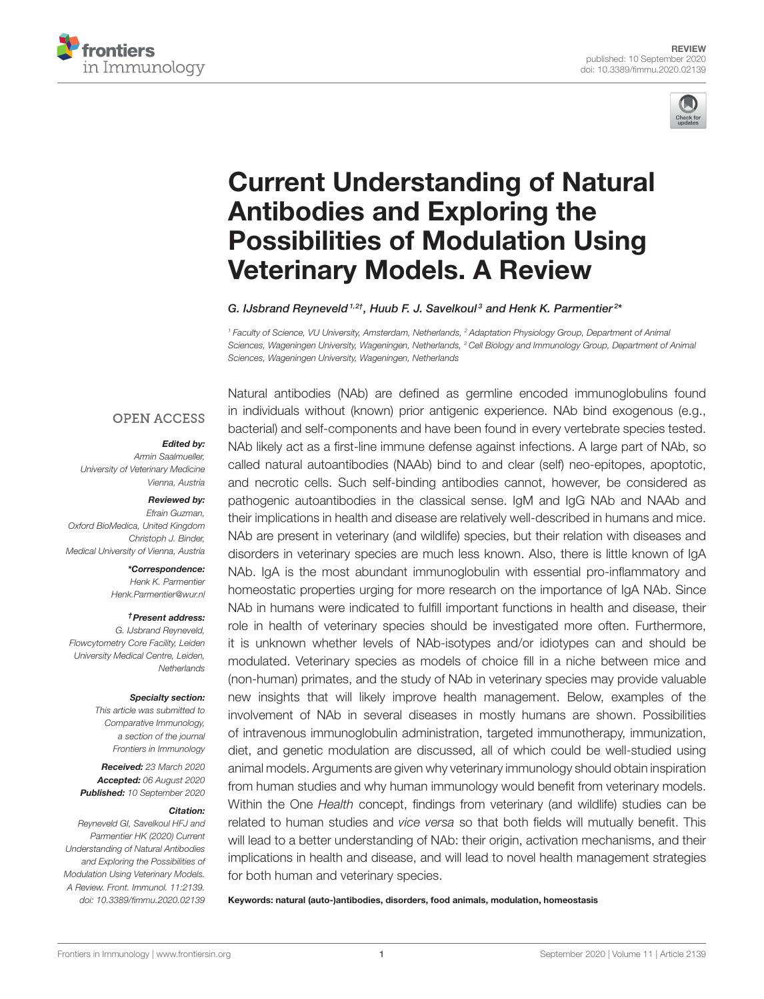



# Current Understanding of Natural Antibodies and Exploring the [Possibilities of Modulation Using](https://www.frontiersin.org/articles/10.3389/fimmu.2020.02139/full) Veterinary Models. A Review

#### G. IJsbrand Reyneveld<sup>1,2†</sup>, Huub F. J. Savelkoul<sup>3</sup> and Henk K. Parmentier<sup>2\*</sup>

*<sup>1</sup> Faculty of Science, VU University, Amsterdam, Netherlands, <sup>2</sup> Adaptation Physiology Group, Department of Animal Sciences, Wageningen University, Wageningen, Netherlands, <sup>3</sup> Cell Biology and Immunology Group, Department of Animal Sciences, Wageningen University, Wageningen, Netherlands*

#### **OPEN ACCESS**

#### Edited by:

*Armin Saalmueller, University of Veterinary Medicine Vienna, Austria*

#### Reviewed by:

*Efrain Guzman, Oxford BioMedica, United Kingdom Christoph J. Binder, Medical University of Vienna, Austria*

#### \*Correspondence:

*Henk K. Parmentier [Henk.Parmentier@wur.nl](mailto:Henk.Parmentier@wur.nl)*

#### †Present address:

*G. IJsbrand Reyneveld, Flowcytometry Core Facility, Leiden University Medical Centre, Leiden, Netherlands*

#### Specialty section:

*This article was submitted to Comparative Immunology, a section of the journal Frontiers in Immunology*

Received: *23 March 2020* Accepted: *06 August 2020* Published: *10 September 2020*

#### Citation:

*Reyneveld GI, Savelkoul HFJ and Parmentier HK (2020) Current Understanding of Natural Antibodies and Exploring the Possibilities of Modulation Using Veterinary Models. A Review. Front. Immunol. 11:2139. doi: [10.3389/fimmu.2020.02139](https://doi.org/10.3389/fimmu.2020.02139)*

Natural antibodies (NAb) are defined as germline encoded immunoglobulins found in individuals without (known) prior antigenic experience. NAb bind exogenous (e.g., bacterial) and self-components and have been found in every vertebrate species tested. NAb likely act as a first-line immune defense against infections. A large part of NAb, so called natural autoantibodies (NAAb) bind to and clear (self) neo-epitopes, apoptotic, and necrotic cells. Such self-binding antibodies cannot, however, be considered as pathogenic autoantibodies in the classical sense. IgM and IgG NAb and NAAb and their implications in health and disease are relatively well-described in humans and mice. NAb are present in veterinary (and wildlife) species, but their relation with diseases and disorders in veterinary species are much less known. Also, there is little known of IgA NAb. IgA is the most abundant immunoglobulin with essential pro-inflammatory and homeostatic properties urging for more research on the importance of IgA NAb. Since NAb in humans were indicated to fulfill important functions in health and disease, their role in health of veterinary species should be investigated more often. Furthermore, it is unknown whether levels of NAb-isotypes and/or idiotypes can and should be modulated. Veterinary species as models of choice fill in a niche between mice and (non-human) primates, and the study of NAb in veterinary species may provide valuable new insights that will likely improve health management. Below, examples of the involvement of NAb in several diseases in mostly humans are shown. Possibilities of intravenous immunoglobulin administration, targeted immunotherapy, immunization, diet, and genetic modulation are discussed, all of which could be well-studied using animal models. Arguments are given why veterinary immunology should obtain inspiration from human studies and why human immunology would benefit from veterinary models. Within the One *Health* concept, findings from veterinary (and wildlife) studies can be related to human studies and *vice versa* so that both fields will mutually benefit. This will lead to a better understanding of NAb: their origin, activation mechanisms, and their implications in health and disease, and will lead to novel health management strategies for both human and veterinary species.

Keywords: natural (auto-)antibodies, disorders, food animals, modulation, homeostasis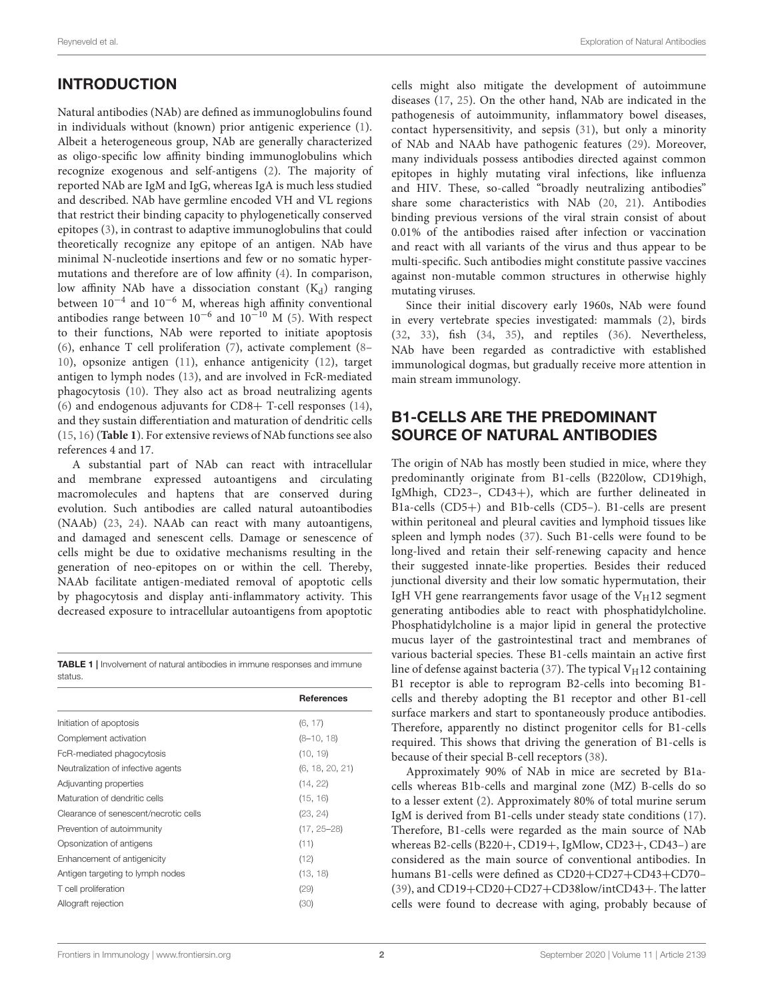# INTRODUCTION

Natural antibodies (NAb) are defined as immunoglobulins found in individuals without (known) prior antigenic experience [\(1\)](#page-13-0). Albeit a heterogeneous group, NAb are generally characterized as oligo-specific low affinity binding immunoglobulins which recognize exogenous and self-antigens [\(2\)](#page-13-1). The majority of reported NAb are IgM and IgG, whereas IgA is much less studied and described. NAb have germline encoded VH and VL regions that restrict their binding capacity to phylogenetically conserved epitopes [\(3\)](#page-13-2), in contrast to adaptive immunoglobulins that could theoretically recognize any epitope of an antigen. NAb have minimal N-nucleotide insertions and few or no somatic hypermutations and therefore are of low affinity [\(4\)](#page-13-3). In comparison, low affinity NAb have a dissociation constant  $(K_d)$  ranging between 10−<sup>4</sup> and 10−<sup>6</sup> M, whereas high affinity conventional antibodies range between  $10^{-6}$  and  $10^{-10}$  M [\(5\)](#page-13-4). With respect to their functions, NAb were reported to initiate apoptosis [\(6\)](#page-13-5), enhance T cell proliferation [\(7\)](#page-13-6), activate complement [\(8–](#page-13-7) [10\)](#page-13-8), opsonize antigen [\(11\)](#page-13-9), enhance antigenicity [\(12\)](#page-13-10), target antigen to lymph nodes [\(13\)](#page-13-11), and are involved in FcR-mediated phagocytosis [\(10\)](#page-13-8). They also act as broad neutralizing agents [\(6\)](#page-13-5) and endogenous adjuvants for CD8+ T-cell responses [\(14\)](#page-13-12), and they sustain differentiation and maturation of dendritic cells [\(15,](#page-13-13) [16\)](#page-13-14) (**[Table 1](#page-1-0)**). For extensive reviews of NAb functions see also references 4 and 17.

A substantial part of NAb can react with intracellular and membrane expressed autoantigens and circulating macromolecules and haptens that are conserved during evolution. Such antibodies are called natural autoantibodies (NAAb) [\(23,](#page-13-15) [24\)](#page-13-16). NAAb can react with many autoantigens, and damaged and senescent cells. Damage or senescence of cells might be due to oxidative mechanisms resulting in the generation of neo-epitopes on or within the cell. Thereby, NAAb facilitate antigen-mediated removal of apoptotic cells by phagocytosis and display anti-inflammatory activity. This decreased exposure to intracellular autoantigens from apoptotic

<span id="page-1-0"></span>TABLE 1 | Involvement of natural antibodies in immune responses and immune status.

|                                       | <b>References</b> |
|---------------------------------------|-------------------|
| Initiation of apoptosis               | (6, 17)           |
| Complement activation                 | $(8-10, 18)$      |
| FcR-mediated phagocytosis             | (10, 19)          |
| Neutralization of infective agents    | (6, 18, 20, 21)   |
| Adjuvanting properties                | (14, 22)          |
| Maturation of dendritic cells         | (15, 16)          |
| Clearance of senescent/necrotic cells | (23, 24)          |
| Prevention of autoimmunity            | $(17, 25 - 28)$   |
| Opsonization of antigens              | (11)              |
| Enhancement of antigenicity           | (12)              |
| Antigen targeting to lymph nodes      | (13, 18)          |
| T cell proliferation                  | (29)              |
| Allograft rejection                   | (30)              |
|                                       |                   |

cells might also mitigate the development of autoimmune diseases [\(17,](#page-13-17) [25\)](#page-13-23). On the other hand, NAb are indicated in the pathogenesis of autoimmunity, inflammatory bowel diseases, contact hypersensitivity, and sepsis [\(31\)](#page-14-3), but only a minority of NAb and NAAb have pathogenic features [\(29\)](#page-14-1). Moreover, many individuals possess antibodies directed against common epitopes in highly mutating viral infections, like influenza and HIV. These, so-called "broadly neutralizing antibodies" share some characteristics with NAb [\(20,](#page-13-20) [21\)](#page-13-21). Antibodies binding previous versions of the viral strain consist of about 0.01% of the antibodies raised after infection or vaccination and react with all variants of the virus and thus appear to be multi-specific. Such antibodies might constitute passive vaccines against non-mutable common structures in otherwise highly mutating viruses.

Since their initial discovery early 1960s, NAb were found in every vertebrate species investigated: mammals [\(2\)](#page-13-1), birds [\(32,](#page-14-4) [33\)](#page-14-5), fish [\(34,](#page-14-6) [35\)](#page-14-7), and reptiles [\(36\)](#page-14-8). Nevertheless, NAb have been regarded as contradictive with established immunological dogmas, but gradually receive more attention in main stream immunology.

### B1-CELLS ARE THE PREDOMINANT SOURCE OF NATURAL ANTIBODIES

The origin of NAb has mostly been studied in mice, where they predominantly originate from B1-cells (B220low, CD19high, IgMhigh, CD23–, CD43+), which are further delineated in B1a-cells (CD5+) and B1b-cells (CD5–). B1-cells are present within peritoneal and pleural cavities and lymphoid tissues like spleen and lymph nodes [\(37\)](#page-14-9). Such B1-cells were found to be long-lived and retain their self-renewing capacity and hence their suggested innate-like properties. Besides their reduced junctional diversity and their low somatic hypermutation, their IgH VH gene rearrangements favor usage of the  $V_H12$  segment generating antibodies able to react with phosphatidylcholine. Phosphatidylcholine is a major lipid in general the protective mucus layer of the gastrointestinal tract and membranes of various bacterial species. These B1-cells maintain an active first line of defense against bacteria [\(37\)](#page-14-9). The typical  $V_H12$  containing B1 receptor is able to reprogram B2-cells into becoming B1 cells and thereby adopting the B1 receptor and other B1-cell surface markers and start to spontaneously produce antibodies. Therefore, apparently no distinct progenitor cells for B1-cells required. This shows that driving the generation of B1-cells is because of their special B-cell receptors [\(38\)](#page-14-10).

Approximately 90% of NAb in mice are secreted by B1acells whereas B1b-cells and marginal zone (MZ) B-cells do so to a lesser extent [\(2\)](#page-13-1). Approximately 80% of total murine serum IgM is derived from B1-cells under steady state conditions [\(17\)](#page-13-17). Therefore, B1-cells were regarded as the main source of NAb whereas B2-cells (B220+, CD19+, IgMlow, CD23+, CD43–) are considered as the main source of conventional antibodies. In humans B1-cells were defined as CD20+CD27+CD43+CD70– [\(39\)](#page-14-11), and CD19+CD20+CD27+CD38low/intCD43+. The latter cells were found to decrease with aging, probably because of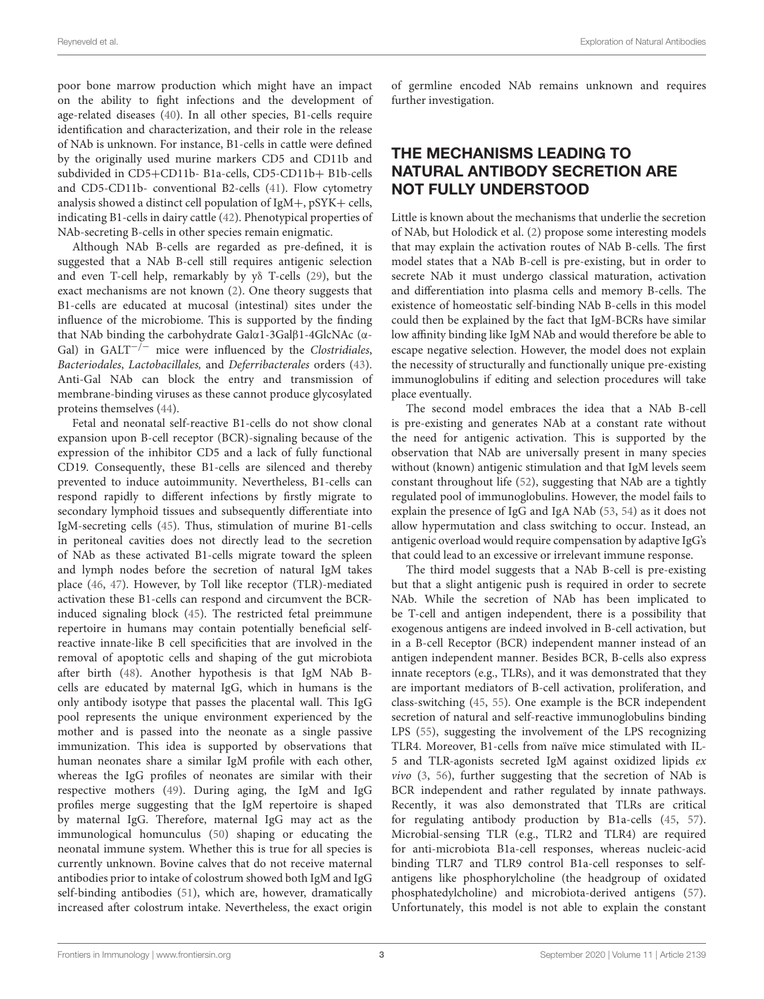poor bone marrow production which might have an impact on the ability to fight infections and the development of age-related diseases [\(40\)](#page-14-12). In all other species, B1-cells require identification and characterization, and their role in the release of NAb is unknown. For instance, B1-cells in cattle were defined by the originally used murine markers CD5 and CD11b and subdivided in CD5+CD11b- B1a-cells, CD5-CD11b+ B1b-cells and CD5-CD11b- conventional B2-cells [\(41\)](#page-14-13). Flow cytometry analysis showed a distinct cell population of IgM+, pSYK+ cells, indicating B1-cells in dairy cattle [\(42\)](#page-14-14). Phenotypical properties of NAb-secreting B-cells in other species remain enigmatic.

Although NAb B-cells are regarded as pre-defined, it is suggested that a NAb B-cell still requires antigenic selection and even T-cell help, remarkably by yδ T-cells [\(29\)](#page-14-1), but the exact mechanisms are not known [\(2\)](#page-13-1). One theory suggests that B1-cells are educated at mucosal (intestinal) sites under the influence of the microbiome. This is supported by the finding that NAb binding the carbohydrate Galα1-3Galβ1-4GlcNAc (α-Gal) in  $GALT^{-/-}$  mice were influenced by the *Clostridiales*, Bacteriodales, Lactobacillales, and Deferribacterales orders [\(43\)](#page-14-15). Anti-Gal NAb can block the entry and transmission of membrane-binding viruses as these cannot produce glycosylated proteins themselves [\(44\)](#page-14-16).

Fetal and neonatal self-reactive B1-cells do not show clonal expansion upon B-cell receptor (BCR)-signaling because of the expression of the inhibitor CD5 and a lack of fully functional CD19. Consequently, these B1-cells are silenced and thereby prevented to induce autoimmunity. Nevertheless, B1-cells can respond rapidly to different infections by firstly migrate to secondary lymphoid tissues and subsequently differentiate into IgM-secreting cells [\(45\)](#page-14-17). Thus, stimulation of murine B1-cells in peritoneal cavities does not directly lead to the secretion of NAb as these activated B1-cells migrate toward the spleen and lymph nodes before the secretion of natural IgM takes place [\(46,](#page-14-18) [47\)](#page-14-19). However, by Toll like receptor (TLR)-mediated activation these B1-cells can respond and circumvent the BCRinduced signaling block [\(45\)](#page-14-17). The restricted fetal preimmune repertoire in humans may contain potentially beneficial selfreactive innate-like B cell specificities that are involved in the removal of apoptotic cells and shaping of the gut microbiota after birth [\(48\)](#page-14-20). Another hypothesis is that IgM NAb Bcells are educated by maternal IgG, which in humans is the only antibody isotype that passes the placental wall. This IgG pool represents the unique environment experienced by the mother and is passed into the neonate as a single passive immunization. This idea is supported by observations that human neonates share a similar IgM profile with each other, whereas the IgG profiles of neonates are similar with their respective mothers [\(49\)](#page-14-21). During aging, the IgM and IgG profiles merge suggesting that the IgM repertoire is shaped by maternal IgG. Therefore, maternal IgG may act as the immunological homunculus [\(50\)](#page-14-22) shaping or educating the neonatal immune system. Whether this is true for all species is currently unknown. Bovine calves that do not receive maternal antibodies prior to intake of colostrum showed both IgM and IgG self-binding antibodies [\(51\)](#page-14-23), which are, however, dramatically increased after colostrum intake. Nevertheless, the exact origin of germline encoded NAb remains unknown and requires further investigation.

# THE MECHANISMS LEADING TO NATURAL ANTIBODY SECRETION ARE NOT FULLY UNDERSTOOD

Little is known about the mechanisms that underlie the secretion of NAb, but Holodick et al. [\(2\)](#page-13-1) propose some interesting models that may explain the activation routes of NAb B-cells. The first model states that a NAb B-cell is pre-existing, but in order to secrete NAb it must undergo classical maturation, activation and differentiation into plasma cells and memory B-cells. The existence of homeostatic self-binding NAb B-cells in this model could then be explained by the fact that IgM-BCRs have similar low affinity binding like IgM NAb and would therefore be able to escape negative selection. However, the model does not explain the necessity of structurally and functionally unique pre-existing immunoglobulins if editing and selection procedures will take place eventually.

The second model embraces the idea that a NAb B-cell is pre-existing and generates NAb at a constant rate without the need for antigenic activation. This is supported by the observation that NAb are universally present in many species without (known) antigenic stimulation and that IgM levels seem constant throughout life [\(52\)](#page-14-24), suggesting that NAb are a tightly regulated pool of immunoglobulins. However, the model fails to explain the presence of IgG and IgA NAb [\(53,](#page-14-25) [54\)](#page-14-26) as it does not allow hypermutation and class switching to occur. Instead, an antigenic overload would require compensation by adaptive IgG's that could lead to an excessive or irrelevant immune response.

The third model suggests that a NAb B-cell is pre-existing but that a slight antigenic push is required in order to secrete NAb. While the secretion of NAb has been implicated to be T-cell and antigen independent, there is a possibility that exogenous antigens are indeed involved in B-cell activation, but in a B-cell Receptor (BCR) independent manner instead of an antigen independent manner. Besides BCR, B-cells also express innate receptors (e.g., TLRs), and it was demonstrated that they are important mediators of B-cell activation, proliferation, and class-switching [\(45,](#page-14-17) [55\)](#page-14-27). One example is the BCR independent secretion of natural and self-reactive immunoglobulins binding LPS [\(55\)](#page-14-27), suggesting the involvement of the LPS recognizing TLR4. Moreover, B1-cells from naïve mice stimulated with IL-5 and TLR-agonists secreted IgM against oxidized lipids ex  $vivo$  [\(3,](#page-13-2) [56\)](#page-14-28), further suggesting that the secretion of NAb is BCR independent and rather regulated by innate pathways. Recently, it was also demonstrated that TLRs are critical for regulating antibody production by B1a-cells [\(45,](#page-14-17) [57\)](#page-14-29). Microbial-sensing TLR (e.g., TLR2 and TLR4) are required for anti-microbiota B1a-cell responses, whereas nucleic-acid binding TLR7 and TLR9 control B1a-cell responses to selfantigens like phosphorylcholine (the headgroup of oxidated phosphatedylcholine) and microbiota-derived antigens [\(57\)](#page-14-29). Unfortunately, this model is not able to explain the constant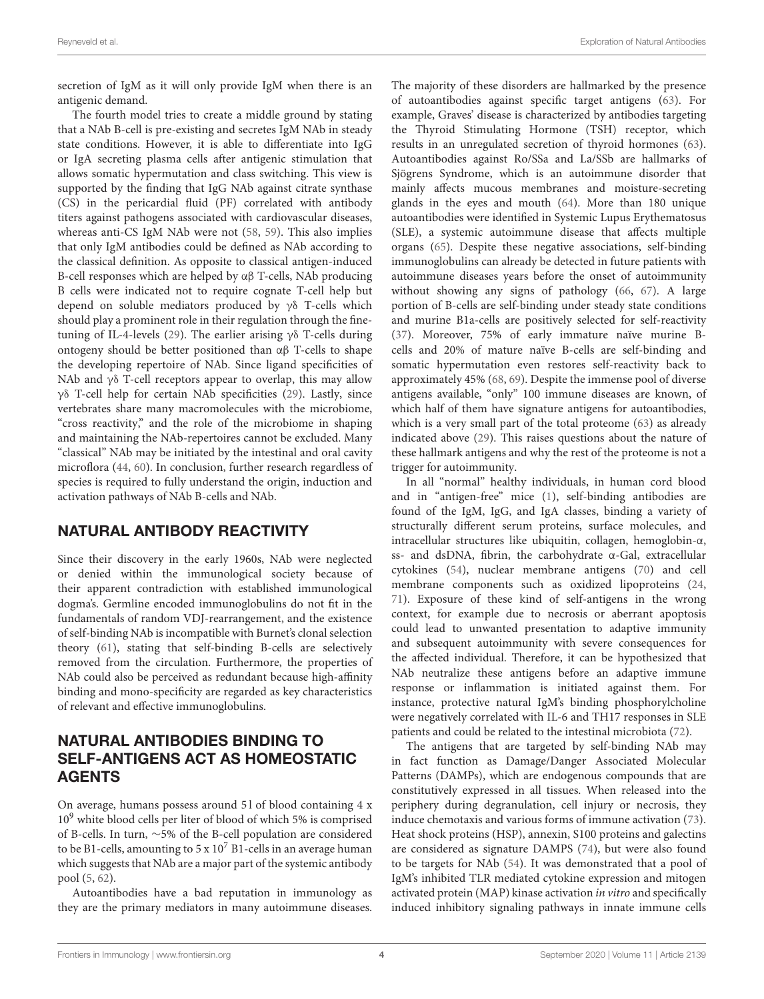secretion of IgM as it will only provide IgM when there is an antigenic demand.

The fourth model tries to create a middle ground by stating that a NAb B-cell is pre-existing and secretes IgM NAb in steady state conditions. However, it is able to differentiate into IgG or IgA secreting plasma cells after antigenic stimulation that allows somatic hypermutation and class switching. This view is supported by the finding that IgG NAb against citrate synthase (CS) in the pericardial fluid (PF) correlated with antibody titers against pathogens associated with cardiovascular diseases, whereas anti-CS IgM NAb were not [\(58,](#page-14-30) [59\)](#page-14-31). This also implies that only IgM antibodies could be defined as NAb according to the classical definition. As opposite to classical antigen-induced B-cell responses which are helped by  $\alpha\beta$  T-cells, NAb producing B cells were indicated not to require cognate T-cell help but depend on soluble mediators produced by γδ T-cells which should play a prominent role in their regulation through the fine-tuning of IL-4-levels [\(29\)](#page-14-1). The earlier arising  $\gamma\delta$  T-cells during ontogeny should be better positioned than αβ T-cells to shape the developing repertoire of NAb. Since ligand specificities of NAb and  $\gamma\delta$  T-cell receptors appear to overlap, this may allow γδ T-cell help for certain NAb specificities [\(29\)](#page-14-1). Lastly, since vertebrates share many macromolecules with the microbiome, "cross reactivity," and the role of the microbiome in shaping and maintaining the NAb-repertoires cannot be excluded. Many "classical" NAb may be initiated by the intestinal and oral cavity microflora [\(44,](#page-14-16) [60\)](#page-14-32). In conclusion, further research regardless of species is required to fully understand the origin, induction and activation pathways of NAb B-cells and NAb.

# NATURAL ANTIBODY REACTIVITY

Since their discovery in the early 1960s, NAb were neglected or denied within the immunological society because of their apparent contradiction with established immunological dogma's. Germline encoded immunoglobulins do not fit in the fundamentals of random VDJ-rearrangement, and the existence of self-binding NAb is incompatible with Burnet's clonal selection theory [\(61\)](#page-14-33), stating that self-binding B-cells are selectively removed from the circulation. Furthermore, the properties of NAb could also be perceived as redundant because high-affinity binding and mono-specificity are regarded as key characteristics of relevant and effective immunoglobulins.

### NATURAL ANTIBODIES BINDING TO SELF-ANTIGENS ACT AS HOMEOSTATIC AGENTS

On average, humans possess around 5 l of blood containing 4 x  $10<sup>9</sup>$  white blood cells per liter of blood of which 5% is comprised of B-cells. In turn, ∼5% of the B-cell population are considered to be B1-cells, amounting to  $5 \times 10^7$  B1-cells in an average human which suggests that NAb are a major part of the systemic antibody pool [\(5,](#page-13-4) [62\)](#page-14-34).

Autoantibodies have a bad reputation in immunology as they are the primary mediators in many autoimmune diseases.

The majority of these disorders are hallmarked by the presence of autoantibodies against specific target antigens [\(63\)](#page-14-35). For example, Graves' disease is characterized by antibodies targeting the Thyroid Stimulating Hormone (TSH) receptor, which results in an unregulated secretion of thyroid hormones [\(63\)](#page-14-35). Autoantibodies against Ro/SSa and La/SSb are hallmarks of Sjögrens Syndrome, which is an autoimmune disorder that mainly affects mucous membranes and moisture-secreting glands in the eyes and mouth [\(64\)](#page-14-36). More than 180 unique autoantibodies were identified in Systemic Lupus Erythematosus (SLE), a systemic autoimmune disease that affects multiple organs [\(65\)](#page-14-37). Despite these negative associations, self-binding immunoglobulins can already be detected in future patients with autoimmune diseases years before the onset of autoimmunity without showing any signs of pathology [\(66,](#page-14-38) [67\)](#page-14-39). A large portion of B-cells are self-binding under steady state conditions and murine B1a-cells are positively selected for self-reactivity [\(37\)](#page-14-9). Moreover, 75% of early immature naïve murine Bcells and 20% of mature naïve B-cells are self-binding and somatic hypermutation even restores self-reactivity back to approximately 45% [\(68,](#page-14-40) [69\)](#page-15-0). Despite the immense pool of diverse antigens available, "only" 100 immune diseases are known, of which half of them have signature antigens for autoantibodies, which is a very small part of the total proteome [\(63\)](#page-14-35) as already indicated above [\(29\)](#page-14-1). This raises questions about the nature of these hallmark antigens and why the rest of the proteome is not a trigger for autoimmunity.

In all "normal" healthy individuals, in human cord blood and in "antigen-free" mice [\(1\)](#page-13-0), self-binding antibodies are found of the IgM, IgG, and IgA classes, binding a variety of structurally different serum proteins, surface molecules, and intracellular structures like ubiquitin, collagen, hemoglobin-α, ss- and dsDNA, fibrin, the carbohydrate α-Gal, extracellular cytokines [\(54\)](#page-14-26), nuclear membrane antigens [\(70\)](#page-15-1) and cell membrane components such as oxidized lipoproteins [\(24,](#page-13-16) [71\)](#page-15-2). Exposure of these kind of self-antigens in the wrong context, for example due to necrosis or aberrant apoptosis could lead to unwanted presentation to adaptive immunity and subsequent autoimmunity with severe consequences for the affected individual. Therefore, it can be hypothesized that NAb neutralize these antigens before an adaptive immune response or inflammation is initiated against them. For instance, protective natural IgM's binding phosphorylcholine were negatively correlated with IL-6 and TH17 responses in SLE patients and could be related to the intestinal microbiota [\(72\)](#page-15-3).

The antigens that are targeted by self-binding NAb may in fact function as Damage/Danger Associated Molecular Patterns (DAMPs), which are endogenous compounds that are constitutively expressed in all tissues. When released into the periphery during degranulation, cell injury or necrosis, they induce chemotaxis and various forms of immune activation [\(73\)](#page-15-4). Heat shock proteins (HSP), annexin, S100 proteins and galectins are considered as signature DAMPS [\(74\)](#page-15-5), but were also found to be targets for NAb [\(54\)](#page-14-26). It was demonstrated that a pool of IgM's inhibited TLR mediated cytokine expression and mitogen activated protein (MAP) kinase activation in vitro and specifically induced inhibitory signaling pathways in innate immune cells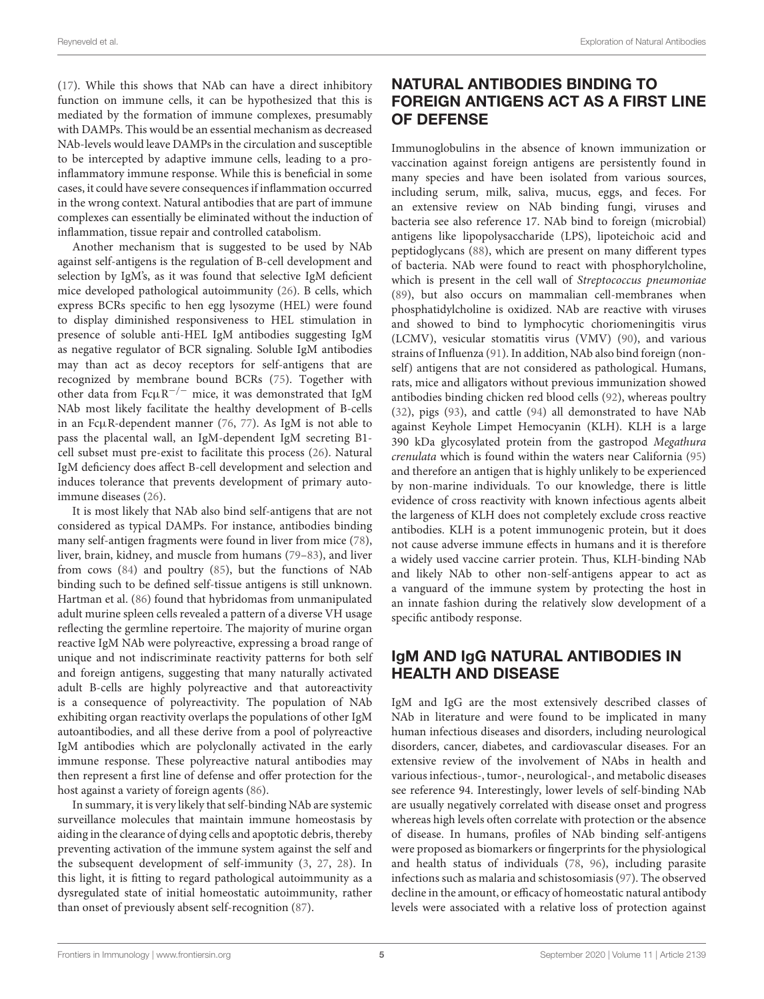[\(17\)](#page-13-17). While this shows that NAb can have a direct inhibitory function on immune cells, it can be hypothesized that this is mediated by the formation of immune complexes, presumably with DAMPs. This would be an essential mechanism as decreased NAb-levels would leave DAMPs in the circulation and susceptible to be intercepted by adaptive immune cells, leading to a proinflammatory immune response. While this is beneficial in some cases, it could have severe consequences if inflammation occurred in the wrong context. Natural antibodies that are part of immune complexes can essentially be eliminated without the induction of inflammation, tissue repair and controlled catabolism.

Another mechanism that is suggested to be used by NAb against self-antigens is the regulation of B-cell development and selection by IgM's, as it was found that selective IgM deficient mice developed pathological autoimmunity [\(26\)](#page-13-24). B cells, which express BCRs specific to hen egg lysozyme (HEL) were found to display diminished responsiveness to HEL stimulation in presence of soluble anti-HEL IgM antibodies suggesting IgM as negative regulator of BCR signaling. Soluble IgM antibodies may than act as decoy receptors for self-antigens that are recognized by membrane bound BCRs [\(75\)](#page-15-6). Together with other data from  $Fc\mu R^{-/-}$  mice, it was demonstrated that IgM NAb most likely facilitate the healthy development of B-cells in an FcµR-dependent manner [\(76,](#page-15-7) [77\)](#page-15-8). As IgM is not able to pass the placental wall, an IgM-dependent IgM secreting B1 cell subset must pre-exist to facilitate this process [\(26\)](#page-13-24). Natural IgM deficiency does affect B-cell development and selection and induces tolerance that prevents development of primary autoimmune diseases [\(26\)](#page-13-24).

It is most likely that NAb also bind self-antigens that are not considered as typical DAMPs. For instance, antibodies binding many self-antigen fragments were found in liver from mice [\(78\)](#page-15-9), liver, brain, kidney, and muscle from humans [\(79](#page-15-10)[–83\)](#page-15-11), and liver from cows [\(84\)](#page-15-12) and poultry [\(85\)](#page-15-13), but the functions of NAb binding such to be defined self-tissue antigens is still unknown. Hartman et al. [\(86\)](#page-15-14) found that hybridomas from unmanipulated adult murine spleen cells revealed a pattern of a diverse VH usage reflecting the germline repertoire. The majority of murine organ reactive IgM NAb were polyreactive, expressing a broad range of unique and not indiscriminate reactivity patterns for both self and foreign antigens, suggesting that many naturally activated adult B-cells are highly polyreactive and that autoreactivity is a consequence of polyreactivity. The population of NAb exhibiting organ reactivity overlaps the populations of other IgM autoantibodies, and all these derive from a pool of polyreactive IgM antibodies which are polyclonally activated in the early immune response. These polyreactive natural antibodies may then represent a first line of defense and offer protection for the host against a variety of foreign agents [\(86\)](#page-15-14).

In summary, it is very likely that self-binding NAb are systemic surveillance molecules that maintain immune homeostasis by aiding in the clearance of dying cells and apoptotic debris, thereby preventing activation of the immune system against the self and the subsequent development of self-immunity [\(3,](#page-13-2) [27,](#page-14-41) [28\)](#page-14-0). In this light, it is fitting to regard pathological autoimmunity as a dysregulated state of initial homeostatic autoimmunity, rather than onset of previously absent self-recognition [\(87\)](#page-15-15).

# NATURAL ANTIBODIES BINDING TO FOREIGN ANTIGENS ACT AS A FIRST LINE OF DEFENSE

Immunoglobulins in the absence of known immunization or vaccination against foreign antigens are persistently found in many species and have been isolated from various sources, including serum, milk, saliva, mucus, eggs, and feces. For an extensive review on NAb binding fungi, viruses and bacteria see also reference 17. NAb bind to foreign (microbial) antigens like lipopolysaccharide (LPS), lipoteichoic acid and peptidoglycans [\(88\)](#page-15-16), which are present on many different types of bacteria. NAb were found to react with phosphorylcholine, which is present in the cell wall of Streptococcus pneumoniae [\(89\)](#page-15-17), but also occurs on mammalian cell-membranes when phosphatidylcholine is oxidized. NAb are reactive with viruses and showed to bind to lymphocytic choriomeningitis virus (LCMV), vesicular stomatitis virus (VMV) [\(90\)](#page-15-18), and various strains of Influenza [\(91\)](#page-15-19). In addition, NAb also bind foreign (nonself) antigens that are not considered as pathological. Humans, rats, mice and alligators without previous immunization showed antibodies binding chicken red blood cells [\(92\)](#page-15-20), whereas poultry [\(32\)](#page-14-4), pigs [\(93\)](#page-15-21), and cattle [\(94\)](#page-15-22) all demonstrated to have NAb against Keyhole Limpet Hemocyanin (KLH). KLH is a large 390 kDa glycosylated protein from the gastropod Megathura crenulata which is found within the waters near California [\(95\)](#page-15-23) and therefore an antigen that is highly unlikely to be experienced by non-marine individuals. To our knowledge, there is little evidence of cross reactivity with known infectious agents albeit the largeness of KLH does not completely exclude cross reactive antibodies. KLH is a potent immunogenic protein, but it does not cause adverse immune effects in humans and it is therefore a widely used vaccine carrier protein. Thus, KLH-binding NAb and likely NAb to other non-self-antigens appear to act as a vanguard of the immune system by protecting the host in an innate fashion during the relatively slow development of a specific antibody response.

# IgM AND IgG NATURAL ANTIBODIES IN HEALTH AND DISEASE

IgM and IgG are the most extensively described classes of NAb in literature and were found to be implicated in many human infectious diseases and disorders, including neurological disorders, cancer, diabetes, and cardiovascular diseases. For an extensive review of the involvement of NAbs in health and various infectious-, tumor-, neurological-, and metabolic diseases see reference 94. Interestingly, lower levels of self-binding NAb are usually negatively correlated with disease onset and progress whereas high levels often correlate with protection or the absence of disease. In humans, profiles of NAb binding self-antigens were proposed as biomarkers or fingerprints for the physiological and health status of individuals [\(78,](#page-15-9) [96\)](#page-15-24), including parasite infections such as malaria and schistosomiasis [\(97\)](#page-15-25). The observed decline in the amount, or efficacy of homeostatic natural antibody levels were associated with a relative loss of protection against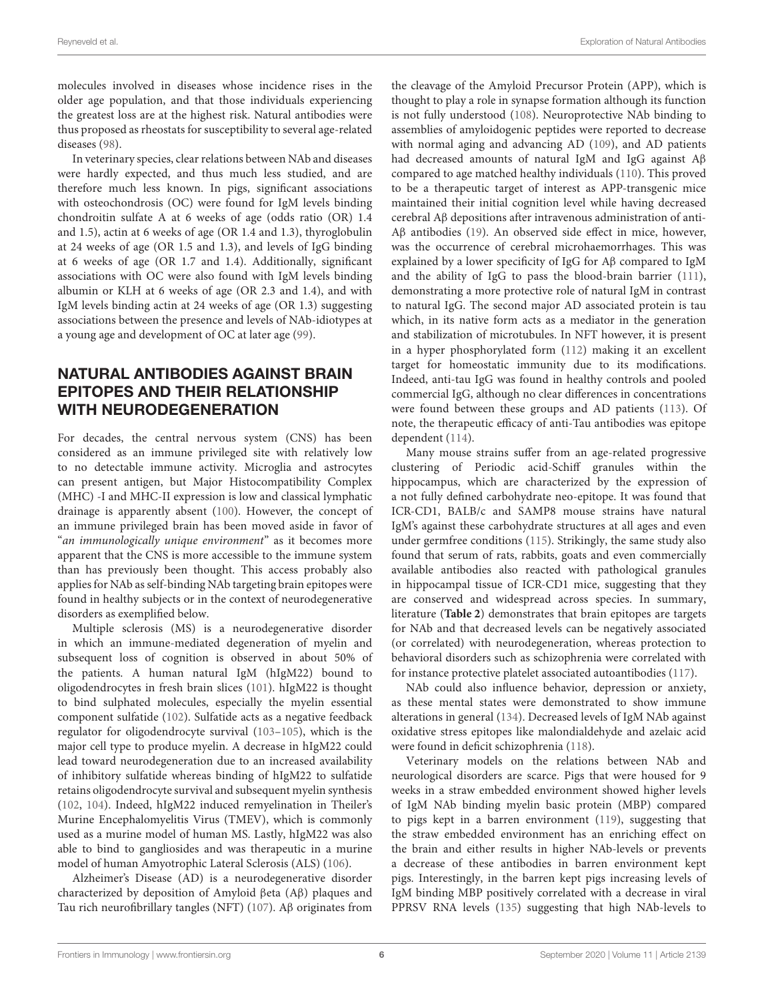molecules involved in diseases whose incidence rises in the older age population, and that those individuals experiencing the greatest loss are at the highest risk. Natural antibodies were thus proposed as rheostats for susceptibility to several age-related diseases [\(98\)](#page-15-26).

In veterinary species, clear relations between NAb and diseases were hardly expected, and thus much less studied, and are therefore much less known. In pigs, significant associations with osteochondrosis (OC) were found for IgM levels binding chondroitin sulfate A at 6 weeks of age (odds ratio (OR) 1.4 and 1.5), actin at 6 weeks of age (OR 1.4 and 1.3), thyroglobulin at 24 weeks of age (OR 1.5 and 1.3), and levels of IgG binding at 6 weeks of age (OR 1.7 and 1.4). Additionally, significant associations with OC were also found with IgM levels binding albumin or KLH at 6 weeks of age (OR 2.3 and 1.4), and with IgM levels binding actin at 24 weeks of age (OR 1.3) suggesting associations between the presence and levels of NAb-idiotypes at a young age and development of OC at later age [\(99\)](#page-15-27).

# NATURAL ANTIBODIES AGAINST BRAIN EPITOPES AND THEIR RELATIONSHIP WITH NEURODEGENERATION

For decades, the central nervous system (CNS) has been considered as an immune privileged site with relatively low to no detectable immune activity. Microglia and astrocytes can present antigen, but Major Histocompatibility Complex (MHC) -I and MHC-II expression is low and classical lymphatic drainage is apparently absent [\(100\)](#page-15-28). However, the concept of an immune privileged brain has been moved aside in favor of "an immunologically unique environment" as it becomes more apparent that the CNS is more accessible to the immune system than has previously been thought. This access probably also applies for NAb as self-binding NAb targeting brain epitopes were found in healthy subjects or in the context of neurodegenerative disorders as exemplified below.

Multiple sclerosis (MS) is a neurodegenerative disorder in which an immune-mediated degeneration of myelin and subsequent loss of cognition is observed in about 50% of the patients. A human natural IgM (hIgM22) bound to oligodendrocytes in fresh brain slices [\(101\)](#page-15-29). hIgM22 is thought to bind sulphated molecules, especially the myelin essential component sulfatide [\(102\)](#page-15-30). Sulfatide acts as a negative feedback regulator for oligodendrocyte survival [\(103](#page-15-31)[–105\)](#page-15-32), which is the major cell type to produce myelin. A decrease in hIgM22 could lead toward neurodegeneration due to an increased availability of inhibitory sulfatide whereas binding of hIgM22 to sulfatide retains oligodendrocyte survival and subsequent myelin synthesis [\(102,](#page-15-30) [104\)](#page-15-33). Indeed, hIgM22 induced remyelination in Theiler's Murine Encephalomyelitis Virus (TMEV), which is commonly used as a murine model of human MS. Lastly, hIgM22 was also able to bind to gangliosides and was therapeutic in a murine model of human Amyotrophic Lateral Sclerosis (ALS) [\(106\)](#page-15-34).

Alzheimer's Disease (AD) is a neurodegenerative disorder characterized by deposition of Amyloid βeta (Aβ) plaques and Tau rich neurofibrillary tangles (NFT) [\(107\)](#page-15-35). Aβ originates from the cleavage of the Amyloid Precursor Protein (APP), which is thought to play a role in synapse formation although its function is not fully understood [\(108\)](#page-16-0). Neuroprotective NAb binding to assemblies of amyloidogenic peptides were reported to decrease with normal aging and advancing AD [\(109\)](#page-16-1), and AD patients had decreased amounts of natural IgM and IgG against Aβ compared to age matched healthy individuals [\(110\)](#page-16-2). This proved to be a therapeutic target of interest as APP-transgenic mice maintained their initial cognition level while having decreased cerebral Aβ depositions after intravenous administration of anti-Aβ antibodies [\(19\)](#page-13-19). An observed side effect in mice, however, was the occurrence of cerebral microhaemorrhages. This was explained by a lower specificity of IgG for Aβ compared to IgM and the ability of IgG to pass the blood-brain barrier [\(111\)](#page-16-3), demonstrating a more protective role of natural IgM in contrast to natural IgG. The second major AD associated protein is tau which, in its native form acts as a mediator in the generation and stabilization of microtubules. In NFT however, it is present in a hyper phosphorylated form [\(112\)](#page-16-4) making it an excellent target for homeostatic immunity due to its modifications. Indeed, anti-tau IgG was found in healthy controls and pooled commercial IgG, although no clear differences in concentrations were found between these groups and AD patients [\(113\)](#page-16-5). Of note, the therapeutic efficacy of anti-Tau antibodies was epitope dependent [\(114\)](#page-16-6).

Many mouse strains suffer from an age-related progressive clustering of Periodic acid-Schiff granules within the hippocampus, which are characterized by the expression of a not fully defined carbohydrate neo-epitope. It was found that ICR-CD1, BALB/c and SAMP8 mouse strains have natural IgM's against these carbohydrate structures at all ages and even under germfree conditions [\(115\)](#page-16-7). Strikingly, the same study also found that serum of rats, rabbits, goats and even commercially available antibodies also reacted with pathological granules in hippocampal tissue of ICR-CD1 mice, suggesting that they are conserved and widespread across species. In summary, literature (**[Table 2](#page-6-0)**) demonstrates that brain epitopes are targets for NAb and that decreased levels can be negatively associated (or correlated) with neurodegeneration, whereas protection to behavioral disorders such as schizophrenia were correlated with for instance protective platelet associated autoantibodies [\(117\)](#page-16-8).

NAb could also influence behavior, depression or anxiety, as these mental states were demonstrated to show immune alterations in general [\(134\)](#page-16-9). Decreased levels of IgM NAb against oxidative stress epitopes like malondialdehyde and azelaic acid were found in deficit schizophrenia [\(118\)](#page-16-10).

Veterinary models on the relations between NAb and neurological disorders are scarce. Pigs that were housed for 9 weeks in a straw embedded environment showed higher levels of IgM NAb binding myelin basic protein (MBP) compared to pigs kept in a barren environment [\(119\)](#page-16-11), suggesting that the straw embedded environment has an enriching effect on the brain and either results in higher NAb-levels or prevents a decrease of these antibodies in barren environment kept pigs. Interestingly, in the barren kept pigs increasing levels of IgM binding MBP positively correlated with a decrease in viral PPRSV RNA levels [\(135\)](#page-16-12) suggesting that high NAb-levels to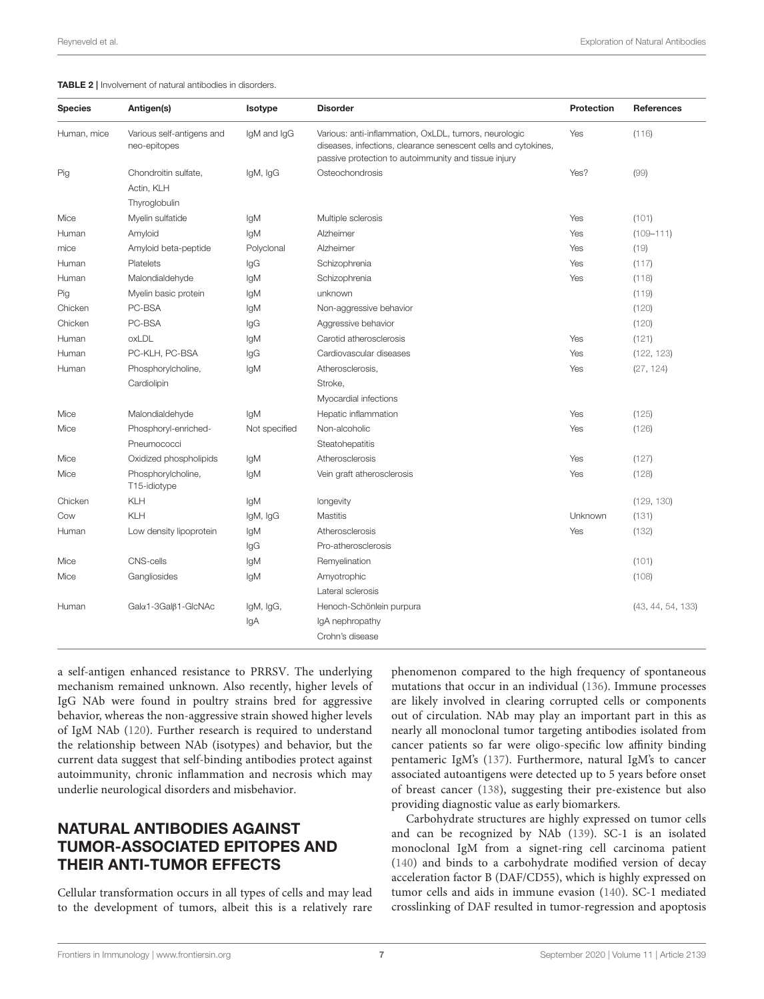<span id="page-6-0"></span>TABLE 2 | Involvement of natural antibodies in disorders.

| <b>Species</b> | Antigen(s)                                | Isotype       | <b>Disorder</b>                                                                                                                                                                 | Protection | <b>References</b> |
|----------------|-------------------------------------------|---------------|---------------------------------------------------------------------------------------------------------------------------------------------------------------------------------|------------|-------------------|
| Human, mice    | Various self-antigens and<br>neo-epitopes | IgM and IgG   | Various: anti-inflammation, OxLDL, tumors, neurologic<br>diseases, infections, clearance senescent cells and cytokines,<br>passive protection to autoimmunity and tissue injury | Yes        | (116)             |
| Pig            | Chondroitin sulfate,                      | IgM, IgG      | Osteochondrosis                                                                                                                                                                 | Yes?       | (99)              |
|                | Actin, KLH                                |               |                                                                                                                                                                                 |            |                   |
|                | Thyroglobulin                             |               |                                                                                                                                                                                 |            |                   |
| Mice           | Myelin sulfatide                          | IgM           | Multiple sclerosis                                                                                                                                                              | Yes        | (101)             |
| Human          | Amyloid                                   | IgM           | Alzheimer                                                                                                                                                                       | Yes        | $(109 - 111)$     |
| mice           | Amyloid beta-peptide                      | Polyclonal    | Alzheimer                                                                                                                                                                       | Yes        | (19)              |
| Human          | Platelets                                 | lgG           | Schizophrenia                                                                                                                                                                   | Yes        | (117)             |
| Human          | Malondialdehyde                           | lgM           | Schizophrenia                                                                                                                                                                   | Yes        | (118)             |
| Pig            | Myelin basic protein                      | lgM           | unknown                                                                                                                                                                         |            | (119)             |
| Chicken        | PC-BSA                                    | lgM           | Non-aggressive behavior                                                                                                                                                         |            | (120)             |
| Chicken        | PC-BSA                                    | lgG           | Aggressive behavior                                                                                                                                                             |            | (120)             |
| Human          | oxLDL                                     | lgM           | Carotid atherosclerosis                                                                                                                                                         | Yes        | (121)             |
| Human          | PC-KLH, PC-BSA                            | lgG           | Cardiovascular diseases                                                                                                                                                         | Yes        | (122, 123)        |
| Human          | Phosphorylcholine,                        | lqM           | Atherosclerosis,                                                                                                                                                                | Yes        | (27, 124)         |
|                | Cardiolipin                               |               | Stroke,                                                                                                                                                                         |            |                   |
|                |                                           |               | Myocardial infections                                                                                                                                                           |            |                   |
| Mice           | Malondialdehyde                           | lgM           | Hepatic inflammation                                                                                                                                                            | Yes        | (125)             |
| Mice           | Phosphoryl-enriched-                      | Not specified | Non-alcoholic                                                                                                                                                                   | Yes        | (126)             |
|                | Pneumococci                               |               | Steatohepatitis                                                                                                                                                                 |            |                   |
| Mice           | Oxidized phospholipids                    | IgM           | Atherosclerosis                                                                                                                                                                 | Yes        | (127)             |
| Mice           | Phosphorylcholine,<br>T15-idiotype        | lgM           | Vein graft atherosclerosis                                                                                                                                                      | Yes        | (128)             |
| Chicken        | KLH                                       | lgM           | longevity                                                                                                                                                                       |            | (129, 130)        |
| Cow            | KLH                                       | IgM, IgG      | <b>Mastitis</b>                                                                                                                                                                 | Unknown    | (131)             |
| Human          | Low density lipoprotein                   | lgM           | Atherosclerosis                                                                                                                                                                 | Yes        | (132)             |
|                |                                           | lgG           | Pro-atherosclerosis                                                                                                                                                             |            |                   |
| Mice           | <b>CNS-cells</b>                          | lgM           | Remyelination                                                                                                                                                                   |            | (101)             |
| Mice           | Gangliosides                              | lgM           | Amyotrophic                                                                                                                                                                     |            | (108)             |
|                |                                           |               | Lateral sclerosis                                                                                                                                                               |            |                   |
| Human          | Gala1-3Galß1-GlcNAc                       | IgM, IgG,     | Henoch-Schönlein purpura                                                                                                                                                        |            | (43, 44, 54, 133) |
|                |                                           | IgA           | IgA nephropathy                                                                                                                                                                 |            |                   |
|                |                                           |               | Crohn's disease                                                                                                                                                                 |            |                   |

a self-antigen enhanced resistance to PRRSV. The underlying mechanism remained unknown. Also recently, higher levels of IgG NAb were found in poultry strains bred for aggressive behavior, whereas the non-aggressive strain showed higher levels of IgM NAb [\(120\)](#page-16-14). Further research is required to understand the relationship between NAb (isotypes) and behavior, but the current data suggest that self-binding antibodies protect against autoimmunity, chronic inflammation and necrosis which may underlie neurological disorders and misbehavior.

# NATURAL ANTIBODIES AGAINST TUMOR-ASSOCIATED EPITOPES AND THEIR ANTI-TUMOR EFFECTS

Cellular transformation occurs in all types of cells and may lead to the development of tumors, albeit this is a relatively rare phenomenon compared to the high frequency of spontaneous mutations that occur in an individual [\(136\)](#page-16-28). Immune processes are likely involved in clearing corrupted cells or components out of circulation. NAb may play an important part in this as nearly all monoclonal tumor targeting antibodies isolated from cancer patients so far were oligo-specific low affinity binding pentameric IgM's [\(137\)](#page-16-29). Furthermore, natural IgM's to cancer associated autoantigens were detected up to 5 years before onset of breast cancer [\(138\)](#page-16-30), suggesting their pre-existence but also providing diagnostic value as early biomarkers.

Carbohydrate structures are highly expressed on tumor cells and can be recognized by NAb [\(139\)](#page-16-31). SC-1 is an isolated monoclonal IgM from a signet-ring cell carcinoma patient [\(140\)](#page-16-32) and binds to a carbohydrate modified version of decay acceleration factor B (DAF/CD55), which is highly expressed on tumor cells and aids in immune evasion [\(140\)](#page-16-32). SC-1 mediated crosslinking of DAF resulted in tumor-regression and apoptosis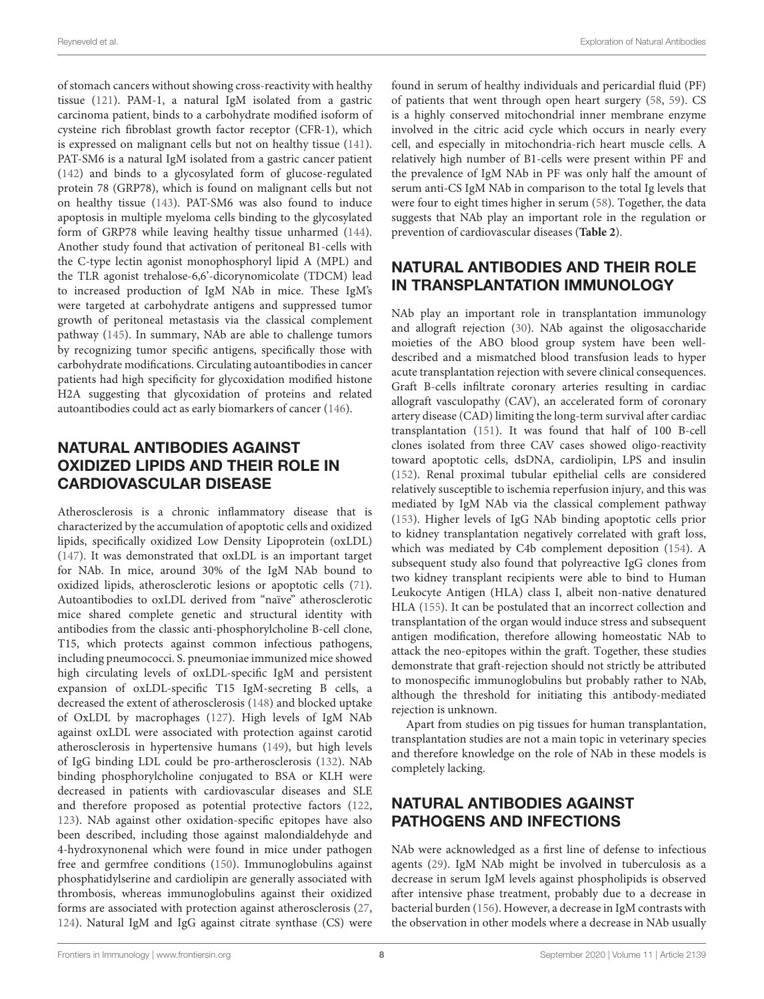of stomach cancers without showing cross-reactivity with healthy tissue [\(121\)](#page-16-15). PAM-1, a natural IgM isolated from a gastric carcinoma patient, binds to a carbohydrate modified isoform of cysteine rich fibroblast growth factor receptor (CFR-1), which is expressed on malignant cells but not on healthy tissue [\(141\)](#page-16-33). PAT-SM6 is a natural IgM isolated from a gastric cancer patient [\(142\)](#page-16-34) and binds to a glycosylated form of glucose-regulated protein 78 (GRP78), which is found on malignant cells but not on healthy tissue [\(143\)](#page-16-35). PAT-SM6 was also found to induce apoptosis in multiple myeloma cells binding to the glycosylated form of GRP78 while leaving healthy tissue unharmed [\(144\)](#page-16-36). Another study found that activation of peritoneal B1-cells with the C-type lectin agonist monophosphoryl lipid A (MPL) and the TLR agonist trehalose-6,6'-dicorynomicolate (TDCM) lead to increased production of IgM NAb in mice. These IgM's were targeted at carbohydrate antigens and suppressed tumor growth of peritoneal metastasis via the classical complement pathway [\(145\)](#page-17-0). In summary, NAb are able to challenge tumors by recognizing tumor specific antigens, specifically those with carbohydrate modifications. Circulating autoantibodies in cancer patients had high specificity for glycoxidation modified histone H2A suggesting that glycoxidation of proteins and related autoantibodies could act as early biomarkers of cancer [\(146\)](#page-17-1).

# NATURAL ANTIBODIES AGAINST OXIDIZED LIPIDS AND THEIR ROLE IN CARDIOVASCULAR DISEASE

Atherosclerosis is a chronic inflammatory disease that is characterized by the accumulation of apoptotic cells and oxidized lipids, specifically oxidized Low Density Lipoprotein (oxLDL) [\(147\)](#page-17-2). It was demonstrated that oxLDL is an important target for NAb. In mice, around 30% of the IgM NAb bound to oxidized lipids, atherosclerotic lesions or apoptotic cells [\(71\)](#page-15-2). Autoantibodies to oxLDL derived from "naïve" atherosclerotic mice shared complete genetic and structural identity with antibodies from the classic anti-phosphorylcholine B-cell clone, T15, which protects against common infectious pathogens, including pneumococci. S. pneumoniae immunized mice showed high circulating levels of oxLDL-specific IgM and persistent expansion of oxLDL-specific T15 IgM-secreting B cells, a decreased the extent of atherosclerosis [\(148\)](#page-17-3) and blocked uptake of OxLDL by macrophages [\(127\)](#page-16-21). High levels of IgM NAb against oxLDL were associated with protection against carotid atherosclerosis in hypertensive humans [\(149\)](#page-17-4), but high levels of IgG binding LDL could be pro-artherosclerosis [\(132\)](#page-16-26). NAb binding phosphorylcholine conjugated to BSA or KLH were decreased in patients with cardiovascular diseases and SLE and therefore proposed as potential protective factors [\(122,](#page-16-16) [123\)](#page-16-17). NAb against other oxidation-specific epitopes have also been described, including those against malondialdehyde and 4-hydroxynonenal which were found in mice under pathogen free and germfree conditions [\(150\)](#page-17-5). Immunoglobulins against phosphatidylserine and cardiolipin are generally associated with thrombosis, whereas immunoglobulins against their oxidized forms are associated with protection against atherosclerosis [\(27,](#page-14-41) [124\)](#page-16-18). Natural IgM and IgG against citrate synthase (CS) were found in serum of healthy individuals and pericardial fluid (PF) of patients that went through open heart surgery [\(58,](#page-14-30) [59\)](#page-14-31). CS is a highly conserved mitochondrial inner membrane enzyme involved in the citric acid cycle which occurs in nearly every cell, and especially in mitochondria-rich heart muscle cells. A relatively high number of B1-cells were present within PF and the prevalence of IgM NAb in PF was only half the amount of serum anti-CS IgM NAb in comparison to the total Ig levels that were four to eight times higher in serum [\(58\)](#page-14-30). Together, the data suggests that NAb play an important role in the regulation or prevention of cardiovascular diseases (**[Table 2](#page-6-0)**).

# NATURAL ANTIBODIES AND THEIR ROLE IN TRANSPLANTATION IMMUNOLOGY

NAb play an important role in transplantation immunology and allograft rejection [\(30\)](#page-14-2). NAb against the oligosaccharide moieties of the ABO blood group system have been welldescribed and a mismatched blood transfusion leads to hyper acute transplantation rejection with severe clinical consequences. Graft B-cells infiltrate coronary arteries resulting in cardiac allograft vasculopathy (CAV), an accelerated form of coronary artery disease (CAD) limiting the long-term survival after cardiac transplantation [\(151\)](#page-17-6). It was found that half of 100 B-cell clones isolated from three CAV cases showed oligo-reactivity toward apoptotic cells, dsDNA, cardiolipin, LPS and insulin [\(152\)](#page-17-7). Renal proximal tubular epithelial cells are considered relatively susceptible to ischemia reperfusion injury, and this was mediated by IgM NAb via the classical complement pathway [\(153\)](#page-17-8). Higher levels of IgG NAb binding apoptotic cells prior to kidney transplantation negatively correlated with graft loss, which was mediated by C4b complement deposition [\(154\)](#page-17-9). A subsequent study also found that polyreactive IgG clones from two kidney transplant recipients were able to bind to Human Leukocyte Antigen (HLA) class I, albeit non-native denatured HLA [\(155\)](#page-17-10). It can be postulated that an incorrect collection and transplantation of the organ would induce stress and subsequent antigen modification, therefore allowing homeostatic NAb to attack the neo-epitopes within the graft. Together, these studies demonstrate that graft-rejection should not strictly be attributed to monospecific immunoglobulins but probably rather to NAb, although the threshold for initiating this antibody-mediated rejection is unknown.

Apart from studies on pig tissues for human transplantation, transplantation studies are not a main topic in veterinary species and therefore knowledge on the role of NAb in these models is completely lacking.

# NATURAL ANTIBODIES AGAINST PATHOGENS AND INFECTIONS

NAb were acknowledged as a first line of defense to infectious agents [\(29\)](#page-14-1). IgM NAb might be involved in tuberculosis as a decrease in serum IgM levels against phospholipids is observed after intensive phase treatment, probably due to a decrease in bacterial burden [\(156\)](#page-17-11). However, a decrease in IgM contrasts with the observation in other models where a decrease in NAb usually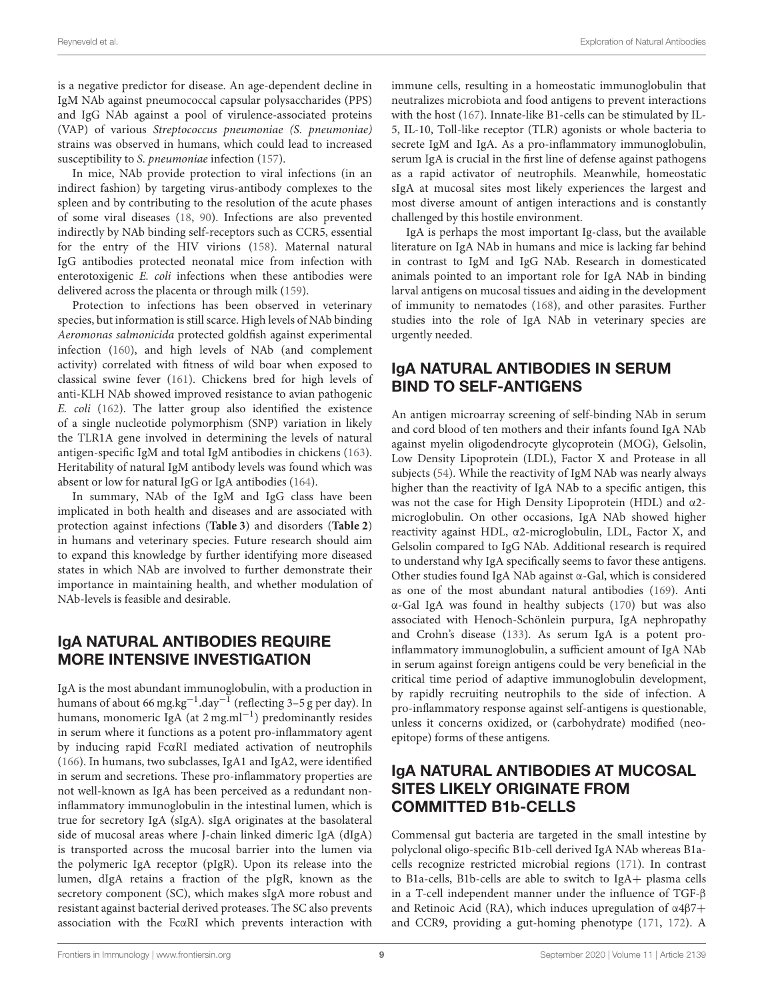is a negative predictor for disease. An age-dependent decline in IgM NAb against pneumococcal capsular polysaccharides (PPS) and IgG NAb against a pool of virulence-associated proteins (VAP) of various Streptococcus pneumoniae (S. pneumoniae) strains was observed in humans, which could lead to increased susceptibility to S. pneumoniae infection [\(157\)](#page-17-12).

In mice, NAb provide protection to viral infections (in an indirect fashion) by targeting virus-antibody complexes to the spleen and by contributing to the resolution of the acute phases of some viral diseases [\(18,](#page-13-18) [90\)](#page-15-18). Infections are also prevented indirectly by NAb binding self-receptors such as CCR5, essential for the entry of the HIV virions [\(158\)](#page-17-13). Maternal natural IgG antibodies protected neonatal mice from infection with enterotoxigenic E. coli infections when these antibodies were delivered across the placenta or through milk [\(159\)](#page-17-14).

Protection to infections has been observed in veterinary species, but information is still scarce. High levels of NAb binding Aeromonas salmonicida protected goldfish against experimental infection [\(160\)](#page-17-15), and high levels of NAb (and complement activity) correlated with fitness of wild boar when exposed to classical swine fever [\(161\)](#page-17-16). Chickens bred for high levels of anti-KLH NAb showed improved resistance to avian pathogenic E. coli [\(162\)](#page-17-17). The latter group also identified the existence of a single nucleotide polymorphism (SNP) variation in likely the TLR1A gene involved in determining the levels of natural antigen-specific IgM and total IgM antibodies in chickens [\(163\)](#page-17-18). Heritability of natural IgM antibody levels was found which was absent or low for natural IgG or IgA antibodies [\(164\)](#page-17-19).

In summary, NAb of the IgM and IgG class have been implicated in both health and diseases and are associated with protection against infections (**[Table 3](#page-9-0)**) and disorders (**[Table 2](#page-6-0)**) in humans and veterinary species. Future research should aim to expand this knowledge by further identifying more diseased states in which NAb are involved to further demonstrate their importance in maintaining health, and whether modulation of NAb-levels is feasible and desirable.

# IgA NATURAL ANTIBODIES REQUIRE MORE INTENSIVE INVESTIGATION

IgA is the most abundant immunoglobulin, with a production in humans of about 66 mg.kg<sup>-1</sup>.day<sup>-1</sup> (reflecting 3-5 g per day). In humans, monomeric IgA (at 2 mg.ml<sup>-1</sup>) predominantly resides in serum where it functions as a potent pro-inflammatory agent by inducing rapid FcαRI mediated activation of neutrophils [\(166\)](#page-17-20). In humans, two subclasses, IgA1 and IgA2, were identified in serum and secretions. These pro-inflammatory properties are not well-known as IgA has been perceived as a redundant noninflammatory immunoglobulin in the intestinal lumen, which is true for secretory IgA (sIgA). sIgA originates at the basolateral side of mucosal areas where J-chain linked dimeric IgA (dIgA) is transported across the mucosal barrier into the lumen via the polymeric IgA receptor (pIgR). Upon its release into the lumen, dIgA retains a fraction of the pIgR, known as the secretory component (SC), which makes sIgA more robust and resistant against bacterial derived proteases. The SC also prevents association with the FcαRI which prevents interaction with immune cells, resulting in a homeostatic immunoglobulin that neutralizes microbiota and food antigens to prevent interactions with the host [\(167\)](#page-17-21). Innate-like B1-cells can be stimulated by IL-5, IL-10, Toll-like receptor (TLR) agonists or whole bacteria to secrete IgM and IgA. As a pro-inflammatory immunoglobulin, serum IgA is crucial in the first line of defense against pathogens as a rapid activator of neutrophils. Meanwhile, homeostatic sIgA at mucosal sites most likely experiences the largest and most diverse amount of antigen interactions and is constantly challenged by this hostile environment.

IgA is perhaps the most important Ig-class, but the available literature on IgA NAb in humans and mice is lacking far behind in contrast to IgM and IgG NAb. Research in domesticated animals pointed to an important role for IgA NAb in binding larval antigens on mucosal tissues and aiding in the development of immunity to nematodes [\(168\)](#page-17-22), and other parasites. Further studies into the role of IgA NAb in veterinary species are urgently needed.

# IgA NATURAL ANTIBODIES IN SERUM BIND TO SELF-ANTIGENS

An antigen microarray screening of self-binding NAb in serum and cord blood of ten mothers and their infants found IgA NAb against myelin oligodendrocyte glycoprotein (MOG), Gelsolin, Low Density Lipoprotein (LDL), Factor X and Protease in all subjects [\(54\)](#page-14-26). While the reactivity of IgM NAb was nearly always higher than the reactivity of IgA NAb to a specific antigen, this was not the case for High Density Lipoprotein (HDL) and α2 microglobulin. On other occasions, IgA NAb showed higher reactivity against HDL, α2-microglobulin, LDL, Factor X, and Gelsolin compared to IgG NAb. Additional research is required to understand why IgA specifically seems to favor these antigens. Other studies found IgA NAb against α-Gal, which is considered as one of the most abundant natural antibodies [\(169\)](#page-17-23). Anti α-Gal IgA was found in healthy subjects [\(170\)](#page-17-24) but was also associated with Henoch-Schönlein purpura, IgA nephropathy and Crohn's disease [\(133\)](#page-16-27). As serum IgA is a potent proinflammatory immunoglobulin, a sufficient amount of IgA NAb in serum against foreign antigens could be very beneficial in the critical time period of adaptive immunoglobulin development, by rapidly recruiting neutrophils to the side of infection. A pro-inflammatory response against self-antigens is questionable, unless it concerns oxidized, or (carbohydrate) modified (neoepitope) forms of these antigens.

# IgA NATURAL ANTIBODIES AT MUCOSAL SITES LIKELY ORIGINATE FROM COMMITTED B1b-CELLS

Commensal gut bacteria are targeted in the small intestine by polyclonal oligo-specific B1b-cell derived IgA NAb whereas B1acells recognize restricted microbial regions [\(171\)](#page-17-25). In contrast to B1a-cells, B1b-cells are able to switch to IgA+ plasma cells in a T-cell independent manner under the influence of TGF-β and Retinoic Acid (RA), which induces upregulation of  $\alpha$ 4 $\beta$ 7+ and CCR9, providing a gut-homing phenotype [\(171,](#page-17-25) [172\)](#page-17-26). A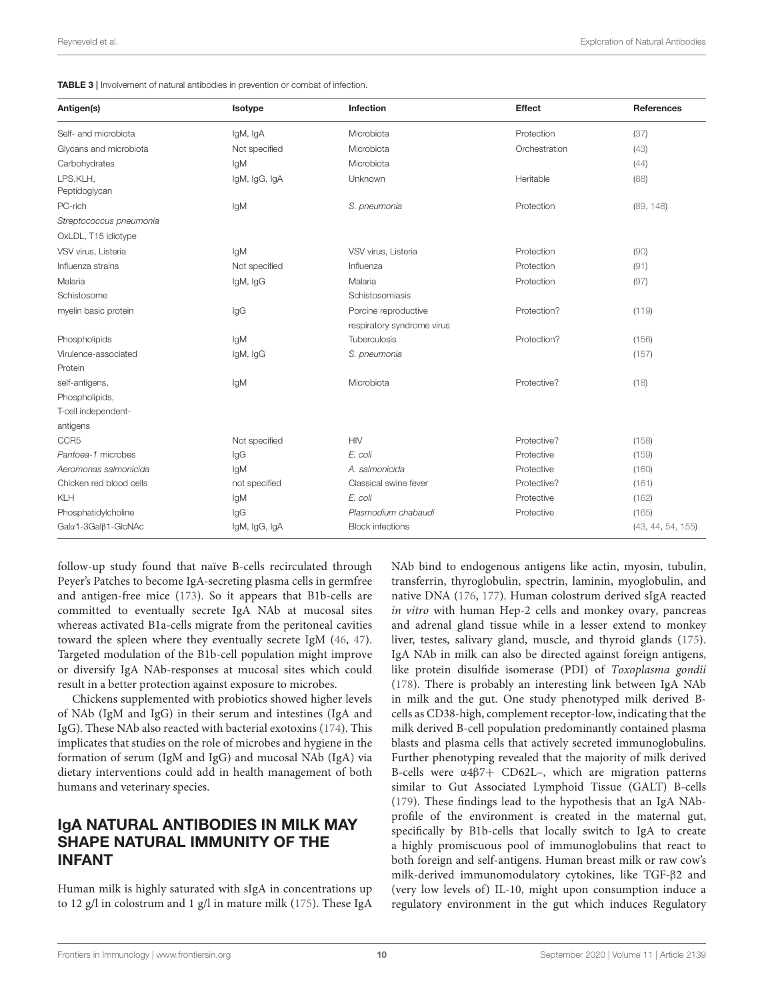<span id="page-9-0"></span>

| Antigen(s)<br>Isotype                       | Infection                  | <b>Effect</b> | <b>References</b> |
|---------------------------------------------|----------------------------|---------------|-------------------|
| Self- and microbiota<br>IgM, IgA            | Microbiota                 | Protection    | (37)              |
| Glycans and microbiota<br>Not specified     | Microbiota                 | Orchestration | (43)              |
| Carbohydrates<br>IgM                        | Microbiota                 |               | (44)              |
| LPS, KLH,<br>IgM, IgG, IgA<br>Peptidoglycan | Unknown                    | Heritable     | (88)              |
| PC-rich<br>lgM                              | S. pneumonia               | Protection    | (89, 148)         |
| Streptococcus pneumonia                     |                            |               |                   |
| OxLDL, T15 idiotype                         |                            |               |                   |
| VSV virus, Listeria<br>IgM                  | VSV virus, Listeria        | Protection    | (90)              |
| Influenza strains<br>Not specified          | Influenza                  | Protection    | (91)              |
| Malaria<br>IgM, IgG                         | Malaria                    | Protection    | (97)              |
| Schistosome                                 | Schistosomiasis            |               |                   |
| $\lg G$<br>myelin basic protein             | Porcine reproductive       | Protection?   | (119)             |
|                                             | respiratory syndrome virus |               |                   |
| Phospholipids<br>lgM                        | Tuberculosis               | Protection?   | (156)             |
| Virulence-associated<br>IgM, IgG            | S. pneumonia               |               | (157)             |
| Protein                                     |                            |               |                   |
| IgM<br>self-antigens,                       | Microbiota                 | Protective?   | (18)              |
| Phospholipids,                              |                            |               |                   |
| T-cell independent-                         |                            |               |                   |
| antigens                                    |                            |               |                   |
| CCR <sub>5</sub><br>Not specified           | <b>HIV</b>                 | Protective?   | (158)             |
| IgG<br>Pantoea-1 microbes                   | E. coli                    | Protective    | (159)             |
| Aeromonas salmonicida<br>IqM                | A. salmonicida             | Protective    | (160)             |
| Chicken red blood cells<br>not specified    | Classical swine fever      | Protective?   | (161)             |
| KLH<br>IgM                                  | E. coli                    | Protective    | (162)             |
| Phosphatidylcholine<br>IgG                  | Plasmodium chabaudi        | Protective    | (165)             |
| Galα1-3Galβ1-GlcNAc<br>IgM, IgG, IgA        | <b>Block infections</b>    |               | (43, 44, 54, 155) |

follow-up study found that naïve B-cells recirculated through Peyer's Patches to become IgA-secreting plasma cells in germfree and antigen-free mice [\(173\)](#page-17-28). So it appears that B1b-cells are committed to eventually secrete IgA NAb at mucosal sites whereas activated B1a-cells migrate from the peritoneal cavities toward the spleen where they eventually secrete IgM [\(46,](#page-14-18) [47\)](#page-14-19). Targeted modulation of the B1b-cell population might improve or diversify IgA NAb-responses at mucosal sites which could result in a better protection against exposure to microbes.

Chickens supplemented with probiotics showed higher levels of NAb (IgM and IgG) in their serum and intestines (IgA and IgG). These NAb also reacted with bacterial exotoxins [\(174\)](#page-17-29). This implicates that studies on the role of microbes and hygiene in the formation of serum (IgM and IgG) and mucosal NAb (IgA) via dietary interventions could add in health management of both humans and veterinary species.

### IgA NATURAL ANTIBODIES IN MILK MAY SHAPE NATURAL IMMUNITY OF THE INFANT

Human milk is highly saturated with sIgA in concentrations up to 12 g/l in colostrum and 1 g/l in mature milk [\(175\)](#page-17-30). These IgA

NAb bind to endogenous antigens like actin, myosin, tubulin, transferrin, thyroglobulin, spectrin, laminin, myoglobulin, and native DNA [\(176,](#page-17-31) [177\)](#page-17-32). Human colostrum derived sIgA reacted in vitro with human Hep-2 cells and monkey ovary, pancreas and adrenal gland tissue while in a lesser extend to monkey liver, testes, salivary gland, muscle, and thyroid glands [\(175\)](#page-17-30). IgA NAb in milk can also be directed against foreign antigens, like protein disulfide isomerase (PDI) of Toxoplasma gondii [\(178\)](#page-17-33). There is probably an interesting link between IgA NAb in milk and the gut. One study phenotyped milk derived Bcells as CD38-high, complement receptor-low, indicating that the milk derived B-cell population predominantly contained plasma blasts and plasma cells that actively secreted immunoglobulins. Further phenotyping revealed that the majority of milk derived B-cells were α4β7+ CD62L–, which are migration patterns similar to Gut Associated Lymphoid Tissue (GALT) B-cells [\(179\)](#page-17-34). These findings lead to the hypothesis that an IgA NAbprofile of the environment is created in the maternal gut, specifically by B1b-cells that locally switch to IgA to create a highly promiscuous pool of immunoglobulins that react to both foreign and self-antigens. Human breast milk or raw cow's milk-derived immunomodulatory cytokines, like TGF-β2 and (very low levels of) IL-10, might upon consumption induce a regulatory environment in the gut which induces Regulatory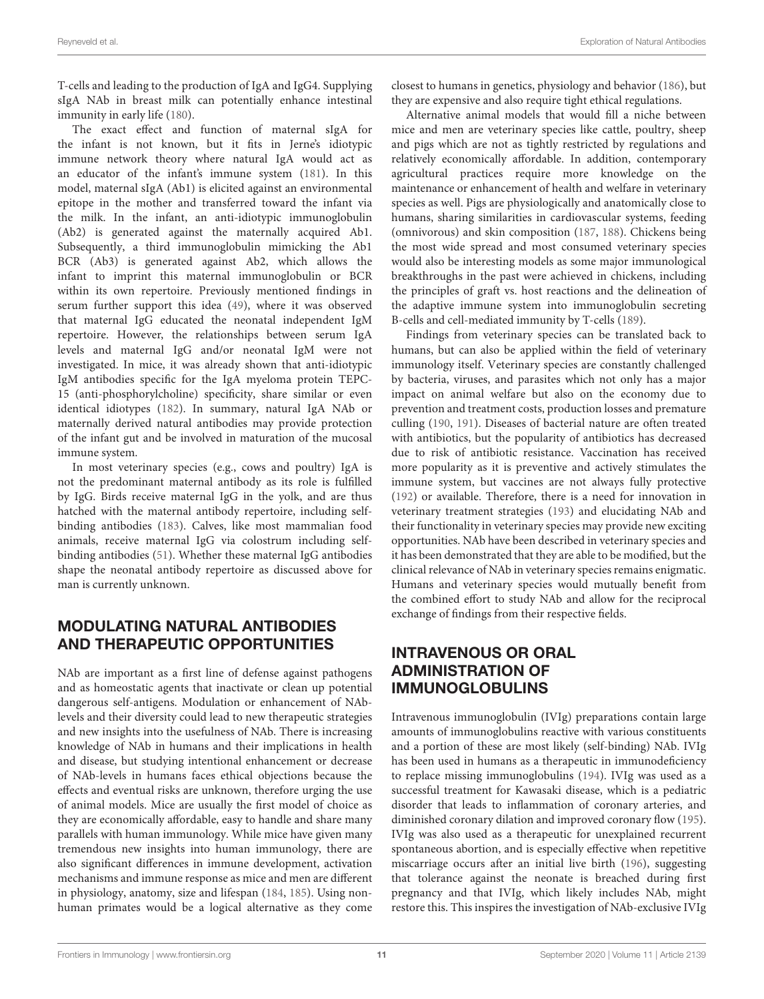T-cells and leading to the production of IgA and IgG4. Supplying sIgA NAb in breast milk can potentially enhance intestinal immunity in early life [\(180\)](#page-17-35).

The exact effect and function of maternal sIgA for the infant is not known, but it fits in Jerne's idiotypic immune network theory where natural IgA would act as an educator of the infant's immune system [\(181\)](#page-17-36). In this model, maternal sIgA (Ab1) is elicited against an environmental epitope in the mother and transferred toward the infant via the milk. In the infant, an anti-idiotypic immunoglobulin (Ab2) is generated against the maternally acquired Ab1. Subsequently, a third immunoglobulin mimicking the Ab1 BCR (Ab3) is generated against Ab2, which allows the infant to imprint this maternal immunoglobulin or BCR within its own repertoire. Previously mentioned findings in serum further support this idea [\(49\)](#page-14-21), where it was observed that maternal IgG educated the neonatal independent IgM repertoire. However, the relationships between serum IgA levels and maternal IgG and/or neonatal IgM were not investigated. In mice, it was already shown that anti-idiotypic IgM antibodies specific for the IgA myeloma protein TEPC-15 (anti-phosphorylcholine) specificity, share similar or even identical idiotypes [\(182\)](#page-17-37). In summary, natural IgA NAb or maternally derived natural antibodies may provide protection of the infant gut and be involved in maturation of the mucosal immune system.

In most veterinary species (e.g., cows and poultry) IgA is not the predominant maternal antibody as its role is fulfilled by IgG. Birds receive maternal IgG in the yolk, and are thus hatched with the maternal antibody repertoire, including selfbinding antibodies [\(183\)](#page-17-38). Calves, like most mammalian food animals, receive maternal IgG via colostrum including selfbinding antibodies [\(51\)](#page-14-23). Whether these maternal IgG antibodies shape the neonatal antibody repertoire as discussed above for man is currently unknown.

# MODULATING NATURAL ANTIBODIES AND THERAPEUTIC OPPORTUNITIES

NAb are important as a first line of defense against pathogens and as homeostatic agents that inactivate or clean up potential dangerous self-antigens. Modulation or enhancement of NAblevels and their diversity could lead to new therapeutic strategies and new insights into the usefulness of NAb. There is increasing knowledge of NAb in humans and their implications in health and disease, but studying intentional enhancement or decrease of NAb-levels in humans faces ethical objections because the effects and eventual risks are unknown, therefore urging the use of animal models. Mice are usually the first model of choice as they are economically affordable, easy to handle and share many parallels with human immunology. While mice have given many tremendous new insights into human immunology, there are also significant differences in immune development, activation mechanisms and immune response as mice and men are different in physiology, anatomy, size and lifespan [\(184,](#page-17-39) [185\)](#page-18-0). Using nonhuman primates would be a logical alternative as they come closest to humans in genetics, physiology and behavior [\(186\)](#page-18-1), but they are expensive and also require tight ethical regulations.

Alternative animal models that would fill a niche between mice and men are veterinary species like cattle, poultry, sheep and pigs which are not as tightly restricted by regulations and relatively economically affordable. In addition, contemporary agricultural practices require more knowledge on the maintenance or enhancement of health and welfare in veterinary species as well. Pigs are physiologically and anatomically close to humans, sharing similarities in cardiovascular systems, feeding (omnivorous) and skin composition [\(187,](#page-18-2) [188\)](#page-18-3). Chickens being the most wide spread and most consumed veterinary species would also be interesting models as some major immunological breakthroughs in the past were achieved in chickens, including the principles of graft vs. host reactions and the delineation of the adaptive immune system into immunoglobulin secreting B-cells and cell-mediated immunity by T-cells [\(189\)](#page-18-4).

Findings from veterinary species can be translated back to humans, but can also be applied within the field of veterinary immunology itself. Veterinary species are constantly challenged by bacteria, viruses, and parasites which not only has a major impact on animal welfare but also on the economy due to prevention and treatment costs, production losses and premature culling [\(190,](#page-18-5) [191\)](#page-18-6). Diseases of bacterial nature are often treated with antibiotics, but the popularity of antibiotics has decreased due to risk of antibiotic resistance. Vaccination has received more popularity as it is preventive and actively stimulates the immune system, but vaccines are not always fully protective [\(192\)](#page-18-7) or available. Therefore, there is a need for innovation in veterinary treatment strategies [\(193\)](#page-18-8) and elucidating NAb and their functionality in veterinary species may provide new exciting opportunities. NAb have been described in veterinary species and it has been demonstrated that they are able to be modified, but the clinical relevance of NAb in veterinary species remains enigmatic. Humans and veterinary species would mutually benefit from the combined effort to study NAb and allow for the reciprocal exchange of findings from their respective fields.

# INTRAVENOUS OR ORAL ADMINISTRATION OF IMMUNOGLOBULINS

Intravenous immunoglobulin (IVIg) preparations contain large amounts of immunoglobulins reactive with various constituents and a portion of these are most likely (self-binding) NAb. IVIg has been used in humans as a therapeutic in immunodeficiency to replace missing immunoglobulins [\(194\)](#page-18-9). IVIg was used as a successful treatment for Kawasaki disease, which is a pediatric disorder that leads to inflammation of coronary arteries, and diminished coronary dilation and improved coronary flow [\(195\)](#page-18-10). IVIg was also used as a therapeutic for unexplained recurrent spontaneous abortion, and is especially effective when repetitive miscarriage occurs after an initial live birth [\(196\)](#page-18-11), suggesting that tolerance against the neonate is breached during first pregnancy and that IVIg, which likely includes NAb, might restore this. This inspires the investigation of NAb-exclusive IVIg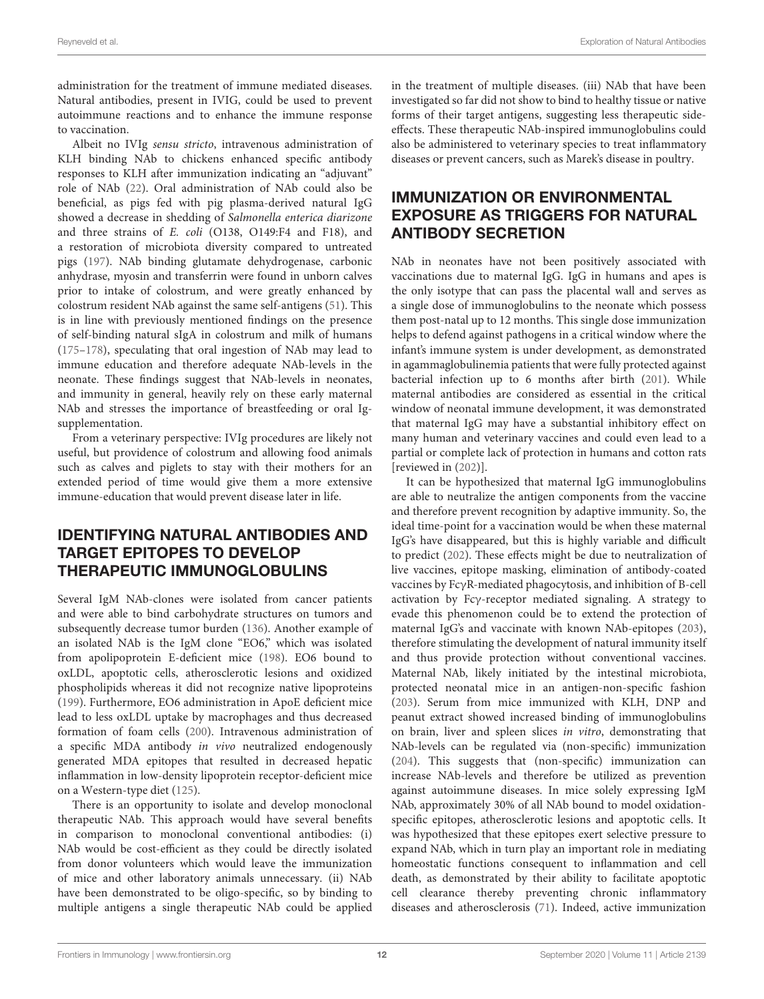administration for the treatment of immune mediated diseases. Natural antibodies, present in IVIG, could be used to prevent autoimmune reactions and to enhance the immune response to vaccination.

Albeit no IVIg sensu stricto, intravenous administration of KLH binding NAb to chickens enhanced specific antibody responses to KLH after immunization indicating an "adjuvant" role of NAb [\(22\)](#page-13-22). Oral administration of NAb could also be beneficial, as pigs fed with pig plasma-derived natural IgG showed a decrease in shedding of Salmonella enterica diarizone and three strains of E. coli (O138, O149:F4 and F18), and a restoration of microbiota diversity compared to untreated pigs [\(197\)](#page-18-12). NAb binding glutamate dehydrogenase, carbonic anhydrase, myosin and transferrin were found in unborn calves prior to intake of colostrum, and were greatly enhanced by colostrum resident NAb against the same self-antigens [\(51\)](#page-14-23). This is in line with previously mentioned findings on the presence of self-binding natural sIgA in colostrum and milk of humans [\(175–](#page-17-30)[178\)](#page-17-33), speculating that oral ingestion of NAb may lead to immune education and therefore adequate NAb-levels in the neonate. These findings suggest that NAb-levels in neonates, and immunity in general, heavily rely on these early maternal NAb and stresses the importance of breastfeeding or oral Igsupplementation.

From a veterinary perspective: IVIg procedures are likely not useful, but providence of colostrum and allowing food animals such as calves and piglets to stay with their mothers for an extended period of time would give them a more extensive immune-education that would prevent disease later in life.

# IDENTIFYING NATURAL ANTIBODIES AND TARGET EPITOPES TO DEVELOP THERAPEUTIC IMMUNOGLOBULINS

Several IgM NAb-clones were isolated from cancer patients and were able to bind carbohydrate structures on tumors and subsequently decrease tumor burden [\(136\)](#page-16-28). Another example of an isolated NAb is the IgM clone "EO6," which was isolated from apolipoprotein E-deficient mice [\(198\)](#page-18-13). EO6 bound to oxLDL, apoptotic cells, atherosclerotic lesions and oxidized phospholipids whereas it did not recognize native lipoproteins [\(199\)](#page-18-14). Furthermore, EO6 administration in ApoE deficient mice lead to less oxLDL uptake by macrophages and thus decreased formation of foam cells [\(200\)](#page-18-15). Intravenous administration of a specific MDA antibody in vivo neutralized endogenously generated MDA epitopes that resulted in decreased hepatic inflammation in low-density lipoprotein receptor-deficient mice on a Western-type diet [\(125\)](#page-16-19).

There is an opportunity to isolate and develop monoclonal therapeutic NAb. This approach would have several benefits in comparison to monoclonal conventional antibodies: (i) NAb would be cost-efficient as they could be directly isolated from donor volunteers which would leave the immunization of mice and other laboratory animals unnecessary. (ii) NAb have been demonstrated to be oligo-specific, so by binding to multiple antigens a single therapeutic NAb could be applied in the treatment of multiple diseases. (iii) NAb that have been investigated so far did not show to bind to healthy tissue or native forms of their target antigens, suggesting less therapeutic sideeffects. These therapeutic NAb-inspired immunoglobulins could also be administered to veterinary species to treat inflammatory diseases or prevent cancers, such as Marek's disease in poultry.

# IMMUNIZATION OR ENVIRONMENTAL EXPOSURE AS TRIGGERS FOR NATURAL ANTIBODY SECRETION

NAb in neonates have not been positively associated with vaccinations due to maternal IgG. IgG in humans and apes is the only isotype that can pass the placental wall and serves as a single dose of immunoglobulins to the neonate which possess them post-natal up to 12 months. This single dose immunization helps to defend against pathogens in a critical window where the infant's immune system is under development, as demonstrated in agammaglobulinemia patients that were fully protected against bacterial infection up to 6 months after birth [\(201\)](#page-18-16). While maternal antibodies are considered as essential in the critical window of neonatal immune development, it was demonstrated that maternal IgG may have a substantial inhibitory effect on many human and veterinary vaccines and could even lead to a partial or complete lack of protection in humans and cotton rats [reviewed in [\(202\)](#page-18-17)].

It can be hypothesized that maternal IgG immunoglobulins are able to neutralize the antigen components from the vaccine and therefore prevent recognition by adaptive immunity. So, the ideal time-point for a vaccination would be when these maternal IgG's have disappeared, but this is highly variable and difficult to predict [\(202\)](#page-18-17). These effects might be due to neutralization of live vaccines, epitope masking, elimination of antibody-coated vaccines by FcγR-mediated phagocytosis, and inhibition of B-cell activation by Fcγ-receptor mediated signaling. A strategy to evade this phenomenon could be to extend the protection of maternal IgG's and vaccinate with known NAb-epitopes [\(203\)](#page-18-18), therefore stimulating the development of natural immunity itself and thus provide protection without conventional vaccines. Maternal NAb, likely initiated by the intestinal microbiota, protected neonatal mice in an antigen-non-specific fashion [\(203\)](#page-18-18). Serum from mice immunized with KLH, DNP and peanut extract showed increased binding of immunoglobulins on brain, liver and spleen slices in vitro, demonstrating that NAb-levels can be regulated via (non-specific) immunization [\(204\)](#page-18-19). This suggests that (non-specific) immunization can increase NAb-levels and therefore be utilized as prevention against autoimmune diseases. In mice solely expressing IgM NAb, approximately 30% of all NAb bound to model oxidationspecific epitopes, atherosclerotic lesions and apoptotic cells. It was hypothesized that these epitopes exert selective pressure to expand NAb, which in turn play an important role in mediating homeostatic functions consequent to inflammation and cell death, as demonstrated by their ability to facilitate apoptotic cell clearance thereby preventing chronic inflammatory diseases and atherosclerosis [\(71\)](#page-15-2). Indeed, active immunization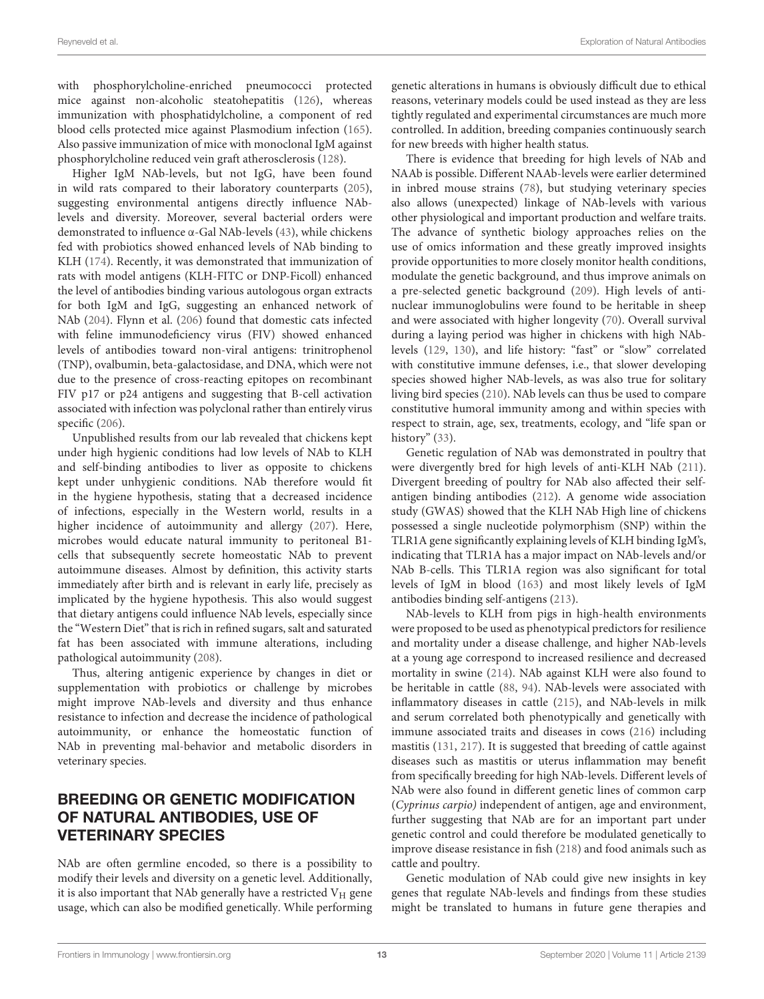with phosphorylcholine-enriched pneumococci protected mice against non-alcoholic steatohepatitis [\(126\)](#page-16-20), whereas immunization with phosphatidylcholine, a component of red blood cells protected mice against Plasmodium infection [\(165\)](#page-17-27). Also passive immunization of mice with monoclonal IgM against phosphorylcholine reduced vein graft atherosclerosis [\(128\)](#page-16-22).

Higher IgM NAb-levels, but not IgG, have been found in wild rats compared to their laboratory counterparts [\(205\)](#page-18-20), suggesting environmental antigens directly influence NAblevels and diversity. Moreover, several bacterial orders were demonstrated to influence α-Gal NAb-levels [\(43\)](#page-14-15), while chickens fed with probiotics showed enhanced levels of NAb binding to KLH [\(174\)](#page-17-29). Recently, it was demonstrated that immunization of rats with model antigens (KLH-FITC or DNP-Ficoll) enhanced the level of antibodies binding various autologous organ extracts for both IgM and IgG, suggesting an enhanced network of NAb [\(204\)](#page-18-19). Flynn et al. [\(206\)](#page-18-21) found that domestic cats infected with feline immunodeficiency virus (FIV) showed enhanced levels of antibodies toward non-viral antigens: trinitrophenol (TNP), ovalbumin, beta-galactosidase, and DNA, which were not due to the presence of cross-reacting epitopes on recombinant FIV p17 or p24 antigens and suggesting that B-cell activation associated with infection was polyclonal rather than entirely virus specific [\(206\)](#page-18-21).

Unpublished results from our lab revealed that chickens kept under high hygienic conditions had low levels of NAb to KLH and self-binding antibodies to liver as opposite to chickens kept under unhygienic conditions. NAb therefore would fit in the hygiene hypothesis, stating that a decreased incidence of infections, especially in the Western world, results in a higher incidence of autoimmunity and allergy [\(207\)](#page-18-22). Here, microbes would educate natural immunity to peritoneal B1 cells that subsequently secrete homeostatic NAb to prevent autoimmune diseases. Almost by definition, this activity starts immediately after birth and is relevant in early life, precisely as implicated by the hygiene hypothesis. This also would suggest that dietary antigens could influence NAb levels, especially since the "Western Diet" that is rich in refined sugars, salt and saturated fat has been associated with immune alterations, including pathological autoimmunity [\(208\)](#page-18-23).

Thus, altering antigenic experience by changes in diet or supplementation with probiotics or challenge by microbes might improve NAb-levels and diversity and thus enhance resistance to infection and decrease the incidence of pathological autoimmunity, or enhance the homeostatic function of NAb in preventing mal-behavior and metabolic disorders in veterinary species.

### BREEDING OR GENETIC MODIFICATION OF NATURAL ANTIBODIES, USE OF VETERINARY SPECIES

NAb are often germline encoded, so there is a possibility to modify their levels and diversity on a genetic level. Additionally, it is also important that NAb generally have a restricted  $V_H$  gene usage, which can also be modified genetically. While performing genetic alterations in humans is obviously difficult due to ethical reasons, veterinary models could be used instead as they are less tightly regulated and experimental circumstances are much more controlled. In addition, breeding companies continuously search for new breeds with higher health status.

There is evidence that breeding for high levels of NAb and NAAb is possible. Different NAAb-levels were earlier determined in inbred mouse strains [\(78\)](#page-15-9), but studying veterinary species also allows (unexpected) linkage of NAb-levels with various other physiological and important production and welfare traits. The advance of synthetic biology approaches relies on the use of omics information and these greatly improved insights provide opportunities to more closely monitor health conditions, modulate the genetic background, and thus improve animals on a pre-selected genetic background [\(209\)](#page-18-24). High levels of antinuclear immunoglobulins were found to be heritable in sheep and were associated with higher longevity [\(70\)](#page-15-1). Overall survival during a laying period was higher in chickens with high NAblevels [\(129,](#page-16-23) [130\)](#page-16-24), and life history: "fast" or "slow" correlated with constitutive immune defenses, i.e., that slower developing species showed higher NAb-levels, as was also true for solitary living bird species [\(210\)](#page-18-25). NAb levels can thus be used to compare constitutive humoral immunity among and within species with respect to strain, age, sex, treatments, ecology, and "life span or history" [\(33\)](#page-14-5).

Genetic regulation of NAb was demonstrated in poultry that were divergently bred for high levels of anti-KLH NAb [\(211\)](#page-18-26). Divergent breeding of poultry for NAb also affected their selfantigen binding antibodies [\(212\)](#page-18-27). A genome wide association study (GWAS) showed that the KLH NAb High line of chickens possessed a single nucleotide polymorphism (SNP) within the TLR1A gene significantly explaining levels of KLH binding IgM's, indicating that TLR1A has a major impact on NAb-levels and/or NAb B-cells. This TLR1A region was also significant for total levels of IgM in blood [\(163\)](#page-17-18) and most likely levels of IgM antibodies binding self-antigens [\(213\)](#page-18-28).

NAb-levels to KLH from pigs in high-health environments were proposed to be used as phenotypical predictors for resilience and mortality under a disease challenge, and higher NAb-levels at a young age correspond to increased resilience and decreased mortality in swine [\(214\)](#page-18-29). NAb against KLH were also found to be heritable in cattle [\(88,](#page-15-16) [94\)](#page-15-22). NAb-levels were associated with inflammatory diseases in cattle [\(215\)](#page-18-30), and NAb-levels in milk and serum correlated both phenotypically and genetically with immune associated traits and diseases in cows [\(216\)](#page-18-31) including mastitis [\(131,](#page-16-25) [217\)](#page-18-32). It is suggested that breeding of cattle against diseases such as mastitis or uterus inflammation may benefit from specifically breeding for high NAb-levels. Different levels of NAb were also found in different genetic lines of common carp (Cyprinus carpio) independent of antigen, age and environment, further suggesting that NAb are for an important part under genetic control and could therefore be modulated genetically to improve disease resistance in fish [\(218\)](#page-18-33) and food animals such as cattle and poultry.

Genetic modulation of NAb could give new insights in key genes that regulate NAb-levels and findings from these studies might be translated to humans in future gene therapies and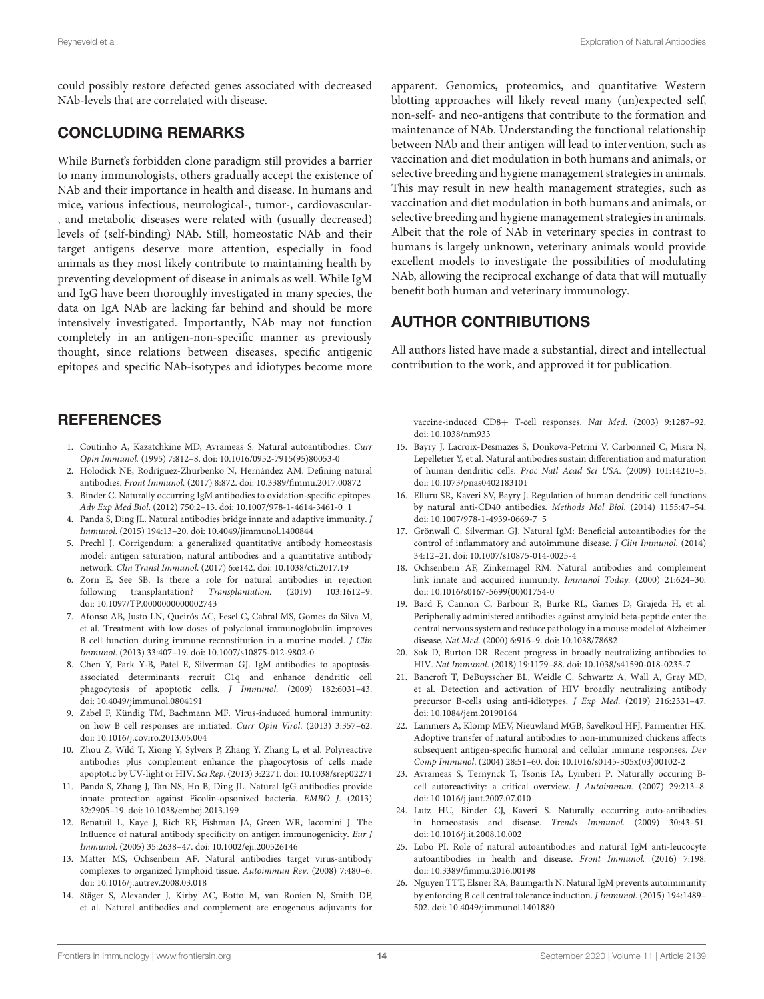could possibly restore defected genes associated with decreased NAb-levels that are correlated with disease.

# CONCLUDING REMARKS

While Burnet's forbidden clone paradigm still provides a barrier to many immunologists, others gradually accept the existence of NAb and their importance in health and disease. In humans and mice, various infectious, neurological-, tumor-, cardiovascular- , and metabolic diseases were related with (usually decreased) levels of (self-binding) NAb. Still, homeostatic NAb and their target antigens deserve more attention, especially in food animals as they most likely contribute to maintaining health by preventing development of disease in animals as well. While IgM and IgG have been thoroughly investigated in many species, the data on IgA NAb are lacking far behind and should be more intensively investigated. Importantly, NAb may not function completely in an antigen-non-specific manner as previously thought, since relations between diseases, specific antigenic epitopes and specific NAb-isotypes and idiotypes become more

### **REFERENCES**

- <span id="page-13-0"></span>1. Coutinho A, Kazatchkine MD, Avrameas S. Natural autoantibodies. Curr Opin Immunol. (1995) 7:812–8. doi: [10.1016/0952-7915\(95\)80053-0](https://doi.org/10.1016/0952-7915(95)80053-0)
- <span id="page-13-1"></span>2. Holodick NE, Rodríguez-Zhurbenko N, Hernández AM. Defining natural antibodies. Front Immunol. (2017) 8:872. doi: [10.3389/fimmu.2017.00872](https://doi.org/10.3389/fimmu.2017.00872)
- <span id="page-13-2"></span>3. Binder C. Naturally occurring IgM antibodies to oxidation-specific epitopes. Adv Exp Med Biol. (2012) 750:2–13. doi: [10.1007/978-1-4614-3461-0\\_1](https://doi.org/10.1007/978-1-4614-3461-0_1)
- <span id="page-13-3"></span>4. Panda S, Ding JL. Natural antibodies bridge innate and adaptive immunity. J Immunol. (2015) 194:13–20. doi: [10.4049/jimmunol.1400844](https://doi.org/10.4049/jimmunol.1400844)
- <span id="page-13-4"></span>5. Prechl J. Corrigendum: a generalized quantitative antibody homeostasis model: antigen saturation, natural antibodies and a quantitative antibody network. Clin Transl Immunol. (2017) 6:e142. doi: [10.1038/cti.2017.19](https://doi.org/10.1038/cti.2017.19)
- <span id="page-13-5"></span>6. Zorn E, See SB. Is there a role for natural antibodies in rejection following transplantation? Transplantation. (2019) 103:1612–9. doi: [10.1097/TP.0000000000002743](https://doi.org/10.1097/TP.0000000000002743)
- <span id="page-13-6"></span>7. Afonso AB, Justo LN, Queirós AC, Fesel C, Cabral MS, Gomes da Silva M, et al. Treatment with low doses of polyclonal immunoglobulin improves B cell function during immune reconstitution in a murine model. J Clin Immunol. (2013) 33:407–19. doi: [10.1007/s10875-012-9802-0](https://doi.org/10.1007/s10875-012-9802-0)
- <span id="page-13-7"></span>8. Chen Y, Park Y-B, Patel E, Silverman GJ. IgM antibodies to apoptosisassociated determinants recruit C1q and enhance dendritic cell phagocytosis of apoptotic cells. J Immunol. (2009) 182:6031–43. doi: [10.4049/jimmunol.0804191](https://doi.org/10.4049/jimmunol.0804191)
- 9. Zabel F, Kündig TM, Bachmann MF. Virus-induced humoral immunity: on how B cell responses are initiated. Curr Opin Virol. (2013) 3:357–62. doi: [10.1016/j.coviro.2013.05.004](https://doi.org/10.1016/j.coviro.2013.05.004)
- <span id="page-13-8"></span>10. Zhou Z, Wild T, Xiong Y, Sylvers P, Zhang Y, Zhang L, et al. Polyreactive antibodies plus complement enhance the phagocytosis of cells made apoptotic by UV-light or HIV. Sci Rep. (2013) 3:2271. doi: [10.1038/srep02271](https://doi.org/10.1038/srep02271)
- <span id="page-13-9"></span>11. Panda S, Zhang J, Tan NS, Ho B, Ding JL. Natural IgG antibodies provide innate protection against Ficolin-opsonized bacteria. EMBO J. (2013) 32:2905–19. doi: [10.1038/emboj.2013.199](https://doi.org/10.1038/emboj.2013.199)
- <span id="page-13-10"></span>12. Benatuil L, Kaye J, Rich RF, Fishman JA, Green WR, Iacomini J. The Influence of natural antibody specificity on antigen immunogenicity. Eur J Immunol. (2005) 35:2638–47. doi: [10.1002/eji.200526146](https://doi.org/10.1002/eji.200526146)
- <span id="page-13-11"></span>13. Matter MS, Ochsenbein AF. Natural antibodies target virus-antibody complexes to organized lymphoid tissue. Autoimmun Rev. (2008) 7:480–6. doi: [10.1016/j.autrev.2008.03.018](https://doi.org/10.1016/j.autrev.2008.03.018)
- <span id="page-13-12"></span>14. Stäger S, Alexander J, Kirby AC, Botto M, van Rooien N, Smith DF, et al. Natural antibodies and complement are enogenous adjuvants for

apparent. Genomics, proteomics, and quantitative Western blotting approaches will likely reveal many (un)expected self, non-self- and neo-antigens that contribute to the formation and maintenance of NAb. Understanding the functional relationship between NAb and their antigen will lead to intervention, such as vaccination and diet modulation in both humans and animals, or selective breeding and hygiene management strategies in animals. This may result in new health management strategies, such as vaccination and diet modulation in both humans and animals, or selective breeding and hygiene management strategies in animals. Albeit that the role of NAb in veterinary species in contrast to humans is largely unknown, veterinary animals would provide excellent models to investigate the possibilities of modulating NAb, allowing the reciprocal exchange of data that will mutually benefit both human and veterinary immunology.

# AUTHOR CONTRIBUTIONS

All authors listed have made a substantial, direct and intellectual contribution to the work, and approved it for publication.

vaccine-induced CD8+ T-cell responses. Nat Med. (2003) 9:1287–92. doi: [10.1038/nm933](https://doi.org/10.1038/nm933)

- <span id="page-13-13"></span>15. Bayry J, Lacroix-Desmazes S, Donkova-Petrini V, Carbonneil C, Misra N, Lepelletier Y, et al. Natural antibodies sustain differentiation and maturation of human dendritic cells. Proc Natl Acad Sci USA. (2009) 101:14210–5. doi: [10.1073/pnas0402183101](https://doi.org/10.1073/pnas0402183101)
- <span id="page-13-14"></span>16. Elluru SR, Kaveri SV, Bayry J. Regulation of human dendritic cell functions by natural anti-CD40 antibodies. Methods Mol Biol. (2014) 1155:47–54. doi: [10.1007/978-1-4939-0669-7\\_5](https://doi.org/10.1007/978-1-4939-0669-7_5)
- <span id="page-13-17"></span>17. Grönwall C, Silverman GJ. Natural IgM: Beneficial autoantibodies for the control of inflammatory and autoimmune disease. J Clin Immunol. (2014) 34:12–21. doi: [10.1007/s10875-014-0025-4](https://doi.org/10.1007/s10875-014-0025-4)
- <span id="page-13-18"></span>18. Ochsenbein AF, Zinkernagel RM. Natural antibodies and complement link innate and acquired immunity. Immunol Today. (2000) 21:624–30. doi: [10.1016/s0167-5699\(00\)01754-0](https://doi.org/10.1016/s0167-5699(00)01754-0)
- <span id="page-13-19"></span>19. Bard F, Cannon C, Barbour R, Burke RL, Games D, Grajeda H, et al. Peripherally administered antibodies against amyloid beta-peptide enter the central nervous system and reduce pathology in a mouse model of Alzheimer disease. Nat Med. (2000) 6:916–9. doi: [10.1038/78682](https://doi.org/10.1038/78682)
- <span id="page-13-20"></span>20. Sok D, Burton DR. Recent progress in broadly neutralizing antibodies to HIV. Nat Immunol. (2018) 19:1179–88. doi: [10.1038/s41590-018-0235-7](https://doi.org/10.1038/s41590-018-0235-7)
- <span id="page-13-21"></span>21. Bancroft T, DeBuysscher BL, Weidle C, Schwartz A, Wall A, Gray MD, et al. Detection and activation of HIV broadly neutralizing antibody precursor B-cells using anti-idiotypes. J Exp Med. (2019) 216:2331–47. doi: [10.1084/jem.20190164](https://doi.org/10.1084/jem.20190164)
- <span id="page-13-22"></span>22. Lammers A, Klomp MEV, Nieuwland MGB, Savelkoul HFJ, Parmentier HK. Adoptive transfer of natural antibodies to non-immunized chickens affects subsequent antigen-specific humoral and cellular immune responses. Dev Comp Immunol. (2004) 28:51–60. doi: [10.1016/s0145-305x\(03\)00102-2](https://doi.org/10.1016/s0145-305x(03)00102-2)
- <span id="page-13-15"></span>23. Avrameas S, Ternynck T, Tsonis IA, Lymberi P. Naturally occuring Bcell autoreactivity: a critical overview. J Autoimmun. (2007) 29:213–8. doi: [10.1016/j.jaut.2007.07.010](https://doi.org/10.1016/j.jaut.2007.07.010)
- <span id="page-13-16"></span>24. Lutz HU, Binder CJ, Kaveri S. Naturally occurring auto-antibodies in homeostasis and disease. Trends Immunol. (2009) 30:43–51. doi: [10.1016/j.it.2008.10.002](https://doi.org/10.1016/j.it.2008.10.002)
- <span id="page-13-23"></span>25. Lobo PI. Role of natural autoantibodies and natural IgM anti-leucocyte autoantibodies in health and disease. Front Immunol. (2016) 7:198. doi: [10.3389/fimmu.2016.00198](https://doi.org/10.3389/fimmu.2016.00198)
- <span id="page-13-24"></span>26. Nguyen TTT, Elsner RA, Baumgarth N. Natural IgM prevents autoimmunity by enforcing B cell central tolerance induction. J Immunol. (2015) 194:1489– 502. doi: [10.4049/jimmunol.1401880](https://doi.org/10.4049/jimmunol.1401880)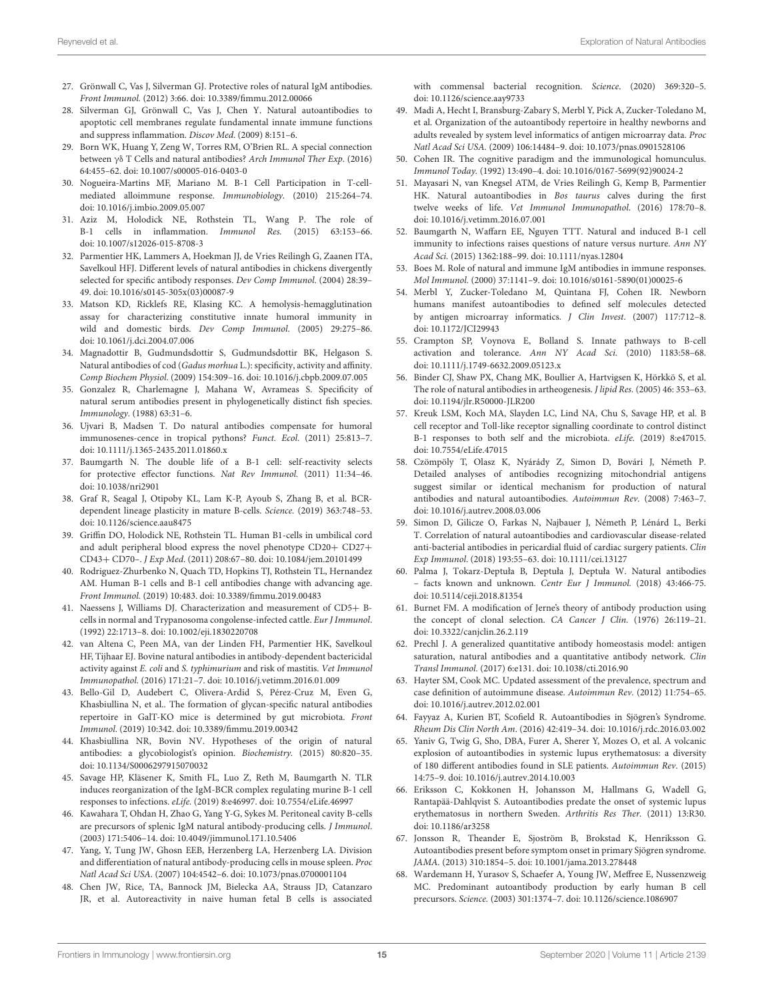- <span id="page-14-41"></span>27. Grönwall C, Vas J, Silverman GJ. Protective roles of natural IgM antibodies. Front Immunol. (2012) 3:66. doi: [10.3389/fimmu.2012.00066](https://doi.org/10.3389/fimmu.2012.00066)
- <span id="page-14-0"></span>28. Silverman GJ, Grönwall C, Vas J, Chen Y. Natural autoantibodies to apoptotic cell membranes regulate fundamental innate immune functions and suppress inflammation. Discov Med. (2009) 8:151–6.
- <span id="page-14-1"></span>29. Born WK, Huang Y, Zeng W, Torres RM, O'Brien RL. A special connection between γδ T Cells and natural antibodies? Arch Immunol Ther Exp. (2016) 64:455–62. doi: [10.1007/s00005-016-0403-0](https://doi.org/10.1007/s00005-016-0403-0)
- <span id="page-14-2"></span>30. Nogueira-Martins MF, Mariano M. B-1 Cell Participation in T-cellmediated alloimmune response. Immunobiology. (2010) 215:264–74. doi: [10.1016/j.imbio.2009.05.007](https://doi.org/10.1016/j.imbio.2009.05.007)
- <span id="page-14-3"></span>31. Aziz M, Holodick NE, Rothstein TL, Wang P. The role of B-1 cells in inflammation. Immunol Res. (2015) 63:153–66. doi: [10.1007/s12026-015-8708-3](https://doi.org/10.1007/s12026-015-8708-3)
- <span id="page-14-4"></span>32. Parmentier HK, Lammers A, Hoekman JJ, de Vries Reilingh G, Zaanen ITA, Savelkoul HFJ. Different levels of natural antibodies in chickens divergently selected for specific antibody responses. Dev Comp Immunol. (2004) 28:39– 49. doi: [10.1016/s0145-305x\(03\)00087-9](https://doi.org/10.1016/s0145-305x(03)00087-9)
- <span id="page-14-5"></span>33. Matson KD, Ricklefs RE, Klasing KC. A hemolysis-hemagglutination assay for characterizing constitutive innate humoral immunity in wild and domestic birds. Dev Comp Immunol. (2005) 29:275–86. doi: [10.1061/j.dci.2004.07.006](https://doi.org/10.1061/j.dci.2004.07.006)
- <span id="page-14-6"></span>34. Magnadottir B, Gudmundsdottir S, Gudmundsdottir BK, Helgason S. Natural antibodies of cod (Gadus morhua L.): specificity, activity and affinity. Comp Biochem Physiol. (2009) 154:309–16. doi: [10.1016/j.cbpb.2009.07.005](https://doi.org/10.1016/j.cbpb.2009.07.005)
- <span id="page-14-7"></span>35. Gonzalez R, Charlemagne J, Mahana W, Avrameas S. Specificity of natural serum antibodies present in phylogenetically distinct fish species. Immunology. (1988) 63:31–6.
- <span id="page-14-8"></span>36. Ujvari B, Madsen T. Do natural antibodies compensate for humoral immunosenes-cence in tropical pythons? Funct. Ecol. (2011) 25:813–7. doi: [10.1111/j.1365-2435.2011.01860.x](https://doi.org/10.1111/j.1365-2435.2011.01860.x)
- <span id="page-14-9"></span>37. Baumgarth N. The double life of a B-1 cell: self-reactivity selects for protective effector functions. Nat Rev Immunol. (2011) 11:34–46. doi: [10.1038/nri2901](https://doi.org/10.1038/nri2901)
- <span id="page-14-10"></span>38. Graf R, Seagal J, Otipoby KL, Lam K-P, Ayoub S, Zhang B, et al. BCRdependent lineage plasticity in mature B-cells. Science. (2019) 363:748–53. doi: [10.1126/science.aau8475](https://doi.org/10.1126/science.aau8475)
- <span id="page-14-11"></span>39. Griffin DO, Holodick NE, Rothstein TL. Human B1-cells in umbilical cord and adult peripheral blood express the novel phenotype CD20+ CD27+ CD43+ CD70–. J Exp Med. (2011) 208:67–80. doi: [10.1084/jem.20101499](https://doi.org/10.1084/jem.20101499)
- <span id="page-14-12"></span>40. Rodriguez-Zhurbenko N, Quach TD, Hopkins TJ, Rothstein TL, Hernandez AM. Human B-1 cells and B-1 cell antibodies change with advancing age. Front Immunol. (2019) 10:483. doi: [10.3389/fimmu.2019.00483](https://doi.org/10.3389/fimmu.2019.00483)
- <span id="page-14-13"></span>41. Naessens J, Williams DJ. Characterization and measurement of CD5+ Bcells in normal and Trypanosoma congolense-infected cattle. Eur J Immunol. (1992) 22:1713–8. doi: [10.1002/eji.1830220708](https://doi.org/10.1002/eji.1830220708)
- <span id="page-14-14"></span>42. van Altena C, Peen MA, van der Linden FH, Parmentier HK, Savelkoul HF, Tijhaar EJ. Bovine natural antibodies in antibody-dependent bactericidal activity against E. coli and S. typhimurium and risk of mastitis. Vet Immunol Immunopathol. (2016) 171:21–7. doi: [10.1016/j.vetimm.2016.01.009](https://doi.org/10.1016/j.vetimm.2016.01.009)
- <span id="page-14-15"></span>43. Bello-Gil D, Audebert C, Olivera-Ardid S, Pérez-Cruz M, Even G, Khasbiullina N, et al.. The formation of glycan-specific natural antibodies repertoire in GalT-KO mice is determined by gut microbiota. Front Immunol. (2019) 10:342. doi: [10.3389/fimmu.2019.00342](https://doi.org/10.3389/fimmu.2019.00342)
- <span id="page-14-16"></span>44. Khasbiullina NR, Bovin NV. Hypotheses of the origin of natural antibodies: a glycobiologist's opinion. Biochemistry. (2015) 80:820–35. doi: [10.1134/S0006297915070032](https://doi.org/10.1134/S0006297915070032)
- <span id="page-14-17"></span>45. Savage HP, Kläsener K, Smith FL, Luo Z, Reth M, Baumgarth N. TLR induces reorganization of the IgM-BCR complex regulating murine B-1 cell responses to infections. eLife. (2019) 8:e46997. doi: [10.7554/eLife.46997](https://doi.org/10.7554/eLife.46997)
- <span id="page-14-18"></span>46. Kawahara T, Ohdan H, Zhao G, Yang Y-G, Sykes M. Peritoneal cavity B-cells are precursors of splenic IgM natural antibody-producing cells. J Immunol. (2003) 171:5406–14. doi: [10.4049/jimmunol.171.10.5406](https://doi.org/10.4049/jimmunol.171.10.5406)
- <span id="page-14-19"></span>47. Yang, Y, Tung JW, Ghosn EEB, Herzenberg LA, Herzenberg LA. Division and differentiation of natural antibody-producing cells in mouse spleen. Proc Natl Acad Sci USA. (2007) 104:4542–6. doi: [10.1073/pnas.0700001104](https://doi.org/10.1073/pnas.0700001104)
- <span id="page-14-20"></span>48. Chen JW, Rice, TA, Bannock JM, Bielecka AA, Strauss JD, Catanzaro JR, et al. Autoreactivity in naive human fetal B cells is associated

with commensal bacterial recognition. Science. (2020) 369:320–5. doi: [10.1126/science.aay9733](https://doi.org/10.1126/science.aay9733)

- <span id="page-14-21"></span>49. Madi A, Hecht I, Bransburg-Zabary S, Merbl Y, Pick A, Zucker-Toledano M, et al. Organization of the autoantibody repertoire in healthy newborns and adults revealed by system level informatics of antigen microarray data. Proc Natl Acad Sci USA. (2009) 106:14484–9. doi: [10.1073/pnas.0901528106](https://doi.org/10.1073/pnas.0901528106)
- <span id="page-14-22"></span>50. Cohen IR. The cognitive paradigm and the immunological homunculus. Immunol Today. (1992) 13:490–4. doi: [10.1016/0167-5699\(92\)90024-2](https://doi.org/10.1016/0167-5699(92)90024-2)
- <span id="page-14-23"></span>51. Mayasari N, van Knegsel ATM, de Vries Reilingh G, Kemp B, Parmentier HK. Natural autoantibodies in Bos taurus calves during the first twelve weeks of life. Vet Immunol Immunopathol. (2016) 178:70-8. doi: [10.1016/j.vetimm.2016.07.001](https://doi.org/10.1016/j.vetimm.2016.07.001)
- <span id="page-14-24"></span>52. Baumgarth N, Waffarn EE, Nguyen TTT. Natural and induced B-1 cell immunity to infections raises questions of nature versus nurture. Ann NY Acad Sci. (2015) 1362:188–99. doi: [10.1111/nyas.12804](https://doi.org/10.1111/nyas.12804)
- <span id="page-14-25"></span>53. Boes M. Role of natural and immune IgM antibodies in immune responses. Mol Immunol. (2000) 37:1141–9. doi: [10.1016/s0161-5890\(01\)00025-6](https://doi.org/10.1016/s0161-5890(01)00025-6)
- <span id="page-14-26"></span>54. Merbl Y, Zucker-Toledano M, Quintana FJ, Cohen IR. Newborn humans manifest autoantibodies to defined self molecules detected by antigen microarray informatics. J Clin Invest. (2007) 117:712–8. doi: [10.1172/JCI29943](https://doi.org/10.1172/JCI29943)
- <span id="page-14-27"></span>55. Crampton SP, Voynova E, Bolland S. Innate pathways to B-cell activation and tolerance. Ann NY Acad Sci. (2010) 1183:58–68. doi: [10.1111/j.1749-6632.2009.05123.x](https://doi.org/10.1111/j.1749-6632.2009.05123.x)
- <span id="page-14-28"></span>56. Binder CJ, Shaw PX, Chang MK, Boullier A, Hartvigsen K, Hörkkö S, et al. The role of natural antibodies in artheogenesis. J lipid Res. (2005) 46: 353–63. doi: [10.1194/jlr.R50000-JLR200](https://doi.org/10.1194/jlr.R50000-JLR200)
- <span id="page-14-29"></span>57. Kreuk LSM, Koch MA, Slayden LC, Lind NA, Chu S, Savage HP, et al. B cell receptor and Toll-like receptor signalling coordinate to control distinct B-1 responses to both self and the microbiota. eLife. (2019) 8:e47015. doi: [10.7554/eLife.47015](https://doi.org/10.7554/eLife.47015)
- <span id="page-14-30"></span>58. Czömpöly T, Olasz K, Nyárády Z, Simon D, Bovári J, Németh P. Detailed analyses of antibodies recognizing mitochondrial antigens suggest similar or identical mechanism for production of natural antibodies and natural autoantibodies. Autoimmun Rev. (2008) 7:463–7. doi: [10.1016/j.autrev.2008.03.006](https://doi.org/10.1016/j.autrev.2008.03.006)
- <span id="page-14-31"></span>59. Simon D, Gilicze O, Farkas N, Najbauer J, Németh P, Lénárd L, Berki T. Correlation of natural autoantibodies and cardiovascular disease-related anti-bacterial antibodies in pericardial fluid of cardiac surgery patients. Clin Exp Immunol. (2018) 193:55–63. doi: [10.1111/cei.13127](https://doi.org/10.1111/cei.13127)
- <span id="page-14-32"></span>60. Palma J, Tokarz-Deptuła B, Deptuła J, Deptuła W. Natural antibodies – facts known and unknown. Centr Eur J Immunol. (2018) 43:466-75. doi: [10.5114/ceji.2018.81354](https://doi.org/10.5114/ceji.2018.81354)
- <span id="page-14-33"></span>61. Burnet FM. A modification of Jerne's theory of antibody production using the concept of clonal selection. CA Cancer J Clin. (1976) 26:119–21. doi: [10.3322/canjclin.26.2.119](https://doi.org/10.3322/canjclin.26.2.119)
- <span id="page-14-34"></span>62. Prechl J. A generalized quantitative antibody homeostasis model: antigen saturation, natural antibodies and a quantitative antibody network. Clin Transl Immunol. (2017) 6:e131. doi: [10.1038/cti.2016.90](https://doi.org/10.1038/cti.2016.90)
- <span id="page-14-35"></span>63. Hayter SM, Cook MC. Updated assessment of the prevalence, spectrum and case definition of autoimmune disease. Autoimmun Rev. (2012) 11:754–65. doi: [10.1016/j.autrev.2012.02.001](https://doi.org/10.1016/j.autrev.2012.02.001)
- <span id="page-14-36"></span>64. Fayyaz A, Kurien BT, Scofield R. Autoantibodies in Sjögren's Syndrome. Rheum Dis Clin North Am. (2016) 42:419–34. doi: [10.1016/j.rdc.2016.03.002](https://doi.org/10.1016/j.rdc.2016.03.002)
- <span id="page-14-37"></span>65. Yaniv G, Twig G, Sho, DBA, Furer A, Sherer Y, Mozes O, et al. A volcanic explosion of autoantibodies in systemic lupus erythematosus: a diversity of 180 different antibodies found in SLE patients. Autoimmun Rev. (2015) 14:75–9. doi: [10.1016/j.autrev.2014.10.003](https://doi.org/10.1016/j.autrev.2014.10.003)
- <span id="page-14-38"></span>66. Eriksson C, Kokkonen H, Johansson M, Hallmans G, Wadell G, Rantapää-Dahlqvist S. Autoantibodies predate the onset of systemic lupus erythematosus in northern Sweden. Arthritis Res Ther. (2011) 13:R30. doi: [10.1186/ar3258](https://doi.org/10.1186/ar3258)
- <span id="page-14-39"></span>67. Jonsson R, Theander E, Sjoström B, Brokstad K, Henriksson G. Autoantibodies present before symptom onset in primary Sjögren syndrome. JAMA. (2013) 310:1854–5. doi: [10.1001/jama.2013.278448](https://doi.org/10.1001/jama.2013.278448)
- <span id="page-14-40"></span>68. Wardemann H, Yurasov S, Schaefer A, Young JW, Meffree E, Nussenzweig MC. Predominant autoantibody production by early human B cell precursors. Science. (2003) 301:1374–7. doi: [10.1126/science.1086907](https://doi.org/10.1126/science.1086907)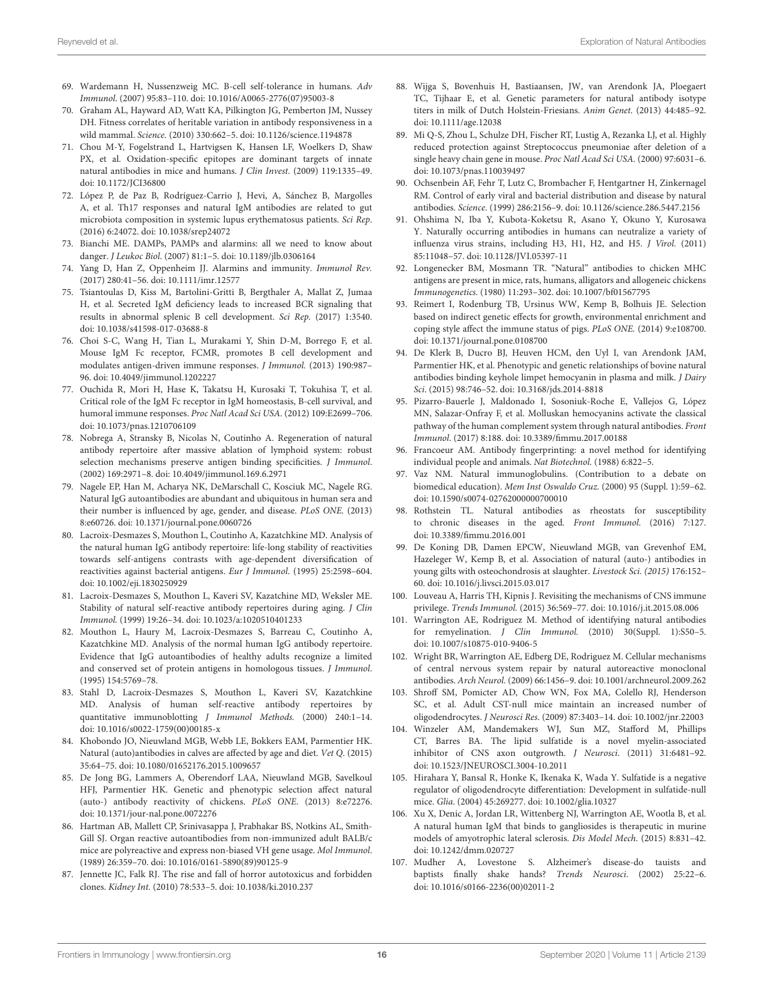- <span id="page-15-0"></span>69. Wardemann H, Nussenzweig MC. B-cell self-tolerance in humans. Adv Immunol. (2007) 95:83–110. doi: [10.1016/A0065-2776\(07\)95003-8](https://doi.org/10.1016/A0065-2776(07)95003-8)
- <span id="page-15-1"></span>70. Graham AL, Hayward AD, Watt KA, Pilkington JG, Pemberton JM, Nussey DH. Fitness correlates of heritable variation in antibody responsiveness in a wild mammal. Science. (2010) 330:662–5. doi: [10.1126/science.1194878](https://doi.org/10.1126/science.1194878)
- <span id="page-15-2"></span>71. Chou M-Y, Fogelstrand L, Hartvigsen K, Hansen LF, Woelkers D, Shaw PX, et al. Oxidation-specific epitopes are dominant targets of innate natural antibodies in mice and humans. J Clin Invest. (2009) 119:1335–49. doi: [10.1172/JCI36800](https://doi.org/10.1172/JCI36800)
- <span id="page-15-3"></span>72. López P, de Paz B, Rodríguez-Carrio J, Hevi, A, Sánchez B, Margolles A, et al. Th17 responses and natural IgM antibodies are related to gut microbiota composition in systemic lupus erythematosus patients. Sci Rep. (2016) 6:24072. doi: [10.1038/srep24072](https://doi.org/10.1038/srep24072)
- <span id="page-15-4"></span>73. Bianchi ME. DAMPs, PAMPs and alarmins: all we need to know about danger. J Leukoc Biol. (2007) 81:1–5. doi: [10.1189/jlb.0306164](https://doi.org/10.1189/jlb.0306164)
- <span id="page-15-5"></span>74. Yang D, Han Z, Oppenheim JJ. Alarmins and immunity. Immunol Rev. (2017) 280:41–56. doi: [10.1111/imr.12577](https://doi.org/10.1111/imr.12577)
- <span id="page-15-6"></span>75. Tsiantoulas D, Kiss M, Bartolini-Gritti B, Bergthaler A, Mallat Z, Jumaa H, et al. Secreted IgM deficiency leads to increased BCR signaling that results in abnormal splenic B cell development. Sci Rep. (2017) 1:3540. doi: [10.1038/s41598-017-03688-8](https://doi.org/10.1038/s41598-017-03688-8)
- <span id="page-15-7"></span>76. Choi S-C, Wang H, Tian L, Murakami Y, Shin D-M, Borrego F, et al. Mouse IgM Fc receptor, FCMR, promotes B cell development and modulates antigen-driven immune responses. J Immunol. (2013) 190:987– 96. doi: [10.4049/jimmunol.1202227](https://doi.org/10.4049/jimmunol.1202227)
- <span id="page-15-8"></span>77. Ouchida R, Mori H, Hase K, Takatsu H, Kurosaki T, Tokuhisa T, et al. Critical role of the IgM Fc receptor in IgM homeostasis, B-cell survival, and humoral immune responses. Proc Natl Acad Sci USA. (2012) 109:E2699–706. doi: [10.1073/pnas.1210706109](https://doi.org/10.1073/pnas.1210706109)
- <span id="page-15-9"></span>78. Nobrega A, Stransky B, Nicolas N, Coutinho A. Regeneration of natural antibody repertoire after massive ablation of lymphoid system: robust selection mechanisms preserve antigen binding specificities. J Immunol. (2002) 169:2971–8. doi: [10.4049/jimmunol.169.6.2971](https://doi.org/10.4049/jimmunol.169.6.2971)
- <span id="page-15-10"></span>79. Nagele EP, Han M, Acharya NK, DeMarschall C, Kosciuk MC, Nagele RG. Natural IgG autoantibodies are abundant and ubiquitous in human sera and their number is influenced by age, gender, and disease. PLoS ONE. (2013) 8:e60726. doi: [10.1371/journal.pone.0060726](https://doi.org/10.1371/journal.pone.0060726)
- 80. Lacroix-Desmazes S, Mouthon L, Coutinho A, Kazatchkine MD. Analysis of the natural human IgG antibody repertoire: life-long stability of reactivities towards self-antigens contrasts with age-dependent diversification of reactivities against bacterial antigens. Eur J Immunol. (1995) 25:2598–604. doi: [10.1002/eji.1830250929](https://doi.org/10.1002/eji.1830250929)
- 81. Lacroix-Desmazes S, Mouthon L, Kaveri SV, Kazatchine MD, Weksler ME. Stability of natural self-reactive antibody repertoires during aging. J Clin Immunol. (1999) 19:26–34. doi: [10.1023/a:1020510401233](https://doi.org/10.1023/a:1020510401233)
- 82. Mouthon L, Haury M, Lacroix-Desmazes S, Barreau C, Coutinho A, Kazatchkine MD. Analysis of the normal human IgG antibody repertoire. Evidence that IgG autoantibodies of healthy adults recognize a limited and conserved set of protein antigens in homologous tissues. J Immunol. (1995) 154:5769–78.
- <span id="page-15-11"></span>83. Stahl D, Lacroix-Desmazes S, Mouthon L, Kaveri SV, Kazatchkine MD. Analysis of human self-reactive antibody repertoires by quantitative immunoblotting J Immunol Methods. (2000) 240:1–14. doi: [10.1016/s0022-1759\(00\)00185-x](https://doi.org/10.1016/s0022-1759(00)00185-x)
- <span id="page-15-12"></span>84. Khobondo JO, Nieuwland MGB, Webb LE, Bokkers EAM, Parmentier HK. Natural (auto)antibodies in calves are affected by age and diet. Vet Q. (2015) 35:64–75. doi: [10.1080/01652176.2015.1009657](https://doi.org/10.1080/01652176.2015.1009657)
- <span id="page-15-13"></span>85. De Jong BG, Lammers A, Oberendorf LAA, Nieuwland MGB, Savelkoul HFJ, Parmentier HK. Genetic and phenotypic selection affect natural (auto-) antibody reactivity of chickens. PLoS ONE. (2013) 8:e72276. doi: [10.1371/jour-nal.pone.0072276](https://doi.org/10.1371/jour-nal.pone.0072276)
- <span id="page-15-14"></span>86. Hartman AB, Mallett CP, Srinivasappa J, Prabhakar BS, Notkins AL, Smith-Gill SJ. Organ reactive autoantibodies from non-immunized adult BALB/c mice are polyreactive and express non-biased VH gene usage. Mol Immunol. (1989) 26:359–70. doi: [10.1016/0161-5890\(89\)90125-9](https://doi.org/10.1016/0161-5890(89)90125-9)
- <span id="page-15-15"></span>87. Jennette JC, Falk RJ. The rise and fall of horror autotoxicus and forbidden clones. Kidney Int. (2010) 78:533–5. doi: [10.1038/ki.2010.237](https://doi.org/10.1038/ki.2010.237)
- <span id="page-15-16"></span>88. Wijga S, Bovenhuis H, Bastiaansen, JW, van Arendonk JA, Ploegaert TC, Tijhaar E, et al. Genetic parameters for natural antibody isotype titers in milk of Dutch Holstein-Friesians. Anim Genet. (2013) 44:485–92. doi: [10.1111/age.12038](https://doi.org/10.1111/age.12038)
- <span id="page-15-17"></span>89. Mi Q-S, Zhou L, Schulze DH, Fischer RT, Lustig A, Rezanka LJ, et al. Highly reduced protection against Streptococcus pneumoniae after deletion of a single heavy chain gene in mouse. Proc Natl Acad Sci USA. (2000) 97:6031–6. doi: [10.1073/pnas.110039497](https://doi.org/10.1073/pnas.110039497)
- <span id="page-15-18"></span>90. Ochsenbein AF, Fehr T, Lutz C, Brombacher F, Hentgartner H, Zinkernagel RM. Control of early viral and bacterial distribution and disease by natural antibodies. Science. (1999) 286:2156–9. doi: [10.1126/science.286.5447.2156](https://doi.org/10.1126/science.286.5447.2156)
- <span id="page-15-19"></span>91. Ohshima N, Iba Y, Kubota-Koketsu R, Asano Y, Okuno Y, Kurosawa Y. Naturally occurring antibodies in humans can neutralize a variety of influenza virus strains, including H3, H1, H2, and H5. J Virol. (2011) 85:11048–57. doi: [10.1128/JVI.05397-11](https://doi.org/10.1128/JVI.05397-11)
- <span id="page-15-20"></span>92. Longenecker BM, Mosmann TR. "Natural" antibodies to chicken MHC antigens are present in mice, rats, humans, alligators and allogeneic chickens Immunogenetics. (1980) 11:293–302. doi: [10.1007/bf01567795](https://doi.org/10.1007/bf01567795)
- <span id="page-15-21"></span>93. Reimert I, Rodenburg TB, Ursinus WW, Kemp B, Bolhuis JE. Selection based on indirect genetic effects for growth, environmental enrichment and coping style affect the immune status of pigs. PLoS ONE. (2014) 9:e108700. doi: [10.1371/journal.pone.0108700](https://doi.org/10.1371/journal.pone.0108700)
- <span id="page-15-22"></span>94. De Klerk B, Ducro BJ, Heuven HCM, den Uyl I, van Arendonk JAM, Parmentier HK, et al. Phenotypic and genetic relationships of bovine natural antibodies binding keyhole limpet hemocyanin in plasma and milk. J Dairy Sci. (2015) 98:746–52. doi: [10.3168/jds.2014-8818](https://doi.org/10.3168/jds.2014-8818)
- <span id="page-15-23"></span>95. Pizarro-Bauerle J, Maldonado I, Sosoniuk-Roche E, Vallejos G, López MN, Salazar-Onfray F, et al. Molluskan hemocyanins activate the classical pathway of the human complement system through natural antibodies. Front Immunol. (2017) 8:188. doi: [10.3389/fimmu.2017.00188](https://doi.org/10.3389/fimmu.2017.00188)
- <span id="page-15-24"></span>96. Francoeur AM. Antibody fingerprinting: a novel method for identifying individual people and animals. Nat Biotechnol. (1988) 6:822–5.
- <span id="page-15-25"></span>97. Vaz NM. Natural immunoglobulins. (Contribution to a debate on biomedical education). Mem Inst Oswaldo Cruz. (2000) 95 (Suppl. 1):59–62. doi: [10.1590/s0074-02762000000700010](https://doi.org/10.1590/s0074-02762000000700010)
- <span id="page-15-26"></span>98. Rothstein TL. Natural antibodies as rheostats for susceptibility to chronic diseases in the aged. Front Immunol. (2016) 7:127. doi: [10.3389/fimmu.2016.001](https://doi.org/10.3389/fimmu.2016.001)
- <span id="page-15-27"></span>99. De Koning DB, Damen EPCW, Nieuwland MGB, van Grevenhof EM, Hazeleger W, Kemp B, et al. Association of natural (auto-) antibodies in young gilts with osteochondrosis at slaughter. Livestock Sci. (2015) 176:152– 60. doi: [10.1016/j.livsci.2015.03.017](https://doi.org/10.1016/j.livsci.2015.03.017)
- <span id="page-15-28"></span>100. Louveau A, Harris TH, Kipnis J. Revisiting the mechanisms of CNS immune privilege. Trends Immunol. (2015) 36:569–77. doi: [10.1016/j.it.2015.08.006](https://doi.org/10.1016/j.it.2015.08.006)
- <span id="page-15-29"></span>101. Warrington AE, Rodriguez M. Method of identifying natural antibodies for remyelination. J Clin Immunol. (2010) 30(Suppl. 1):S50–5. doi: [10.1007/s10875-010-9406-5](https://doi.org/10.1007/s10875-010-9406-5)
- <span id="page-15-30"></span>102. Wright BR, Warrington AE, Edberg DE, Rodriguez M. Cellular mechanisms of central nervous system repair by natural autoreactive monoclonal antibodies. Arch Neurol. (2009) 66:1456–9. doi[: 10.1001/archneurol.2009.262](https://doi.org/10.1001/archneurol.2009.262)
- <span id="page-15-31"></span>103. Shroff SM, Pomicter AD, Chow WN, Fox MA, Colello RJ, Henderson SC, et al. Adult CST-null mice maintain an increased number of oligodendrocytes. J Neurosci Res. (2009) 87:3403–14. doi: [10.1002/jnr.22003](https://doi.org/10.1002/jnr.22003)
- <span id="page-15-33"></span>104. Winzeler AM, Mandemakers WJ, Sun MZ, Stafford M, Phillips CT, Barres BA. The lipid sulfatide is a novel myelin-associated inhibitor of CNS axon outgrowth. J Neurosci. (2011) 31:6481–92. doi: [10.1523/JNEUROSCI.3004-10.2011](https://doi.org/10.1523/JNEUROSCI.3004-10.2011)
- <span id="page-15-32"></span>105. Hirahara Y, Bansal R, Honke K, Ikenaka K, Wada Y. Sulfatide is a negative regulator of oligodendrocyte differentiation: Development in sulfatide-null mice. Glia. (2004) 45:269277. doi: [10.1002/glia.10327](https://doi.org/10.1002/glia.10327)
- <span id="page-15-34"></span>106. Xu X, Denic A, Jordan LR, Wittenberg NJ, Warrington AE, Wootla B, et al. A natural human IgM that binds to gangliosides is therapeutic in murine models of amyotrophic lateral sclerosis. Dis Model Mech. (2015) 8:831–42. doi: [10.1242/dmm.020727](https://doi.org/10.1242/dmm.020727)
- <span id="page-15-35"></span>107. Mudher A, Lovestone S. Alzheimer's disease-do tauists and baptists finally shake hands? Trends Neurosci. (2002) 25:22–6. doi: [10.1016/s0166-2236\(00\)02011-2](https://doi.org/10.1016/s0166-2236(00)02011-2)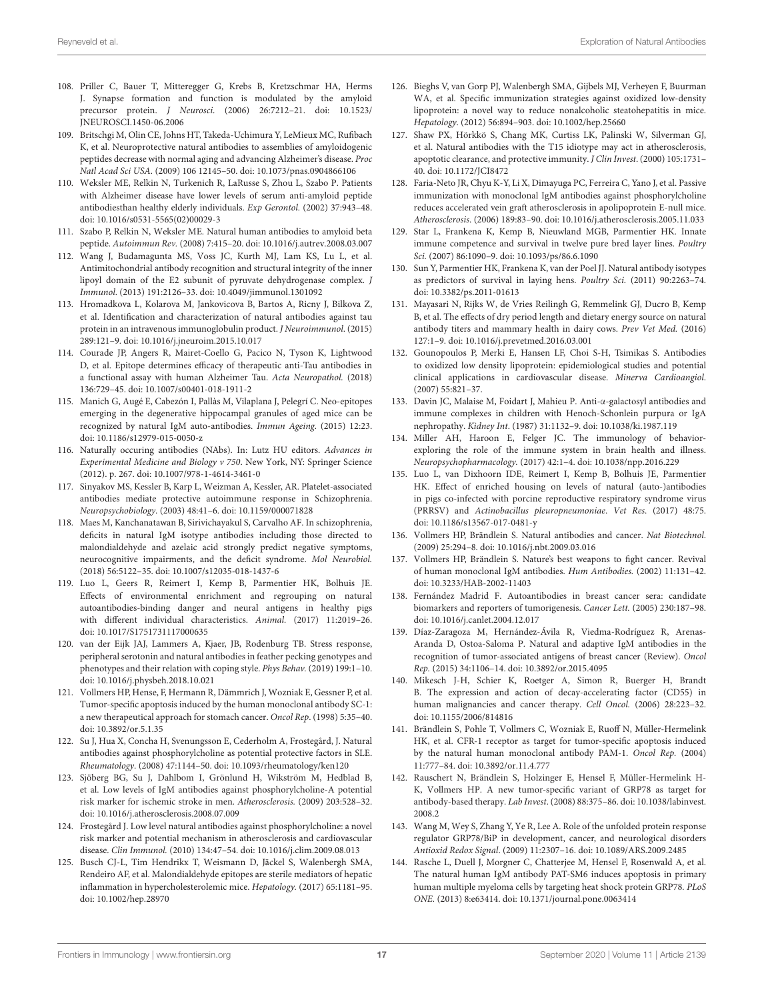- <span id="page-16-0"></span>108. Priller C, Bauer T, Mitteregger G, Krebs B, Kretzschmar HA, Herms J. Synapse formation and function is modulated by the amyloid precursor protein. J Neurosci[. \(2006\) 26:7212–21. doi: 10.1523/](https://doi.org/10.1523/JNEUROSCI.1450-06.2006) JNEUROSCI.1450-06.2006
- <span id="page-16-1"></span>109. Britschgi M, Olin CE, Johns HT, Takeda-Uchimura Y, LeMieux MC, Rufibach K, et al. Neuroprotective natural antibodies to assemblies of amyloidogenic peptides decrease with normal aging and advancing Alzheimer's disease. Proc Natl Acad Sci USA. (2009) 106 12145–50. doi: [10.1073/pnas.0904866106](https://doi.org/10.1073/pnas.0904866106)
- <span id="page-16-2"></span>110. Weksler ME, Relkin N, Turkenich R, LaRusse S, Zhou L, Szabo P. Patients with Alzheimer disease have lower levels of serum anti-amyloid peptide antibodiesthan healthy elderly individuals. Exp Gerontol. (2002) 37:943–48. doi: [10.1016/s0531-5565\(02\)00029-3](https://doi.org/10.1016/s0531-5565(02)00029-3)
- <span id="page-16-3"></span>111. Szabo P, Relkin N, Weksler ME. Natural human antibodies to amyloid beta peptide. Autoimmun Rev. (2008) 7:415–20. doi: [10.1016/j.autrev.2008.03.007](https://doi.org/10.1016/j.autrev.2008.03.007)
- <span id="page-16-4"></span>112. Wang J, Budamagunta MS, Voss JC, Kurth MJ, Lam KS, Lu L, et al. Antimitochondrial antibody recognition and structural integrity of the inner lipoyl domain of the E2 subunit of pyruvate dehydrogenase complex. J Immunol. (2013) 191:2126–33. doi: [10.4049/jimmunol.1301092](https://doi.org/10.4049/jimmunol.1301092)
- <span id="page-16-5"></span>113. Hromadkova L, Kolarova M, Jankovicova B, Bartos A, Ricny J, Bilkova Z, et al. Identification and characterization of natural antibodies against tau protein in an intravenous immunoglobulin product. J Neuroimmunol. (2015) 289:121–9. doi: [10.1016/j.jneuroim.2015.10.017](https://doi.org/10.1016/j.jneuroim.2015.10.017)
- <span id="page-16-6"></span>114. Courade JP, Angers R, Mairet-Coello G, Pacico N, Tyson K, Lightwood D, et al. Epitope determines efficacy of therapeutic anti-Tau antibodies in a functional assay with human Alzheimer Tau. Acta Neuropathol. (2018) 136:729–45. doi: [10.1007/s00401-018-1911-2](https://doi.org/10.1007/s00401-018-1911-2)
- <span id="page-16-7"></span>115. Manich G, Augé E, Cabezón I, Pallàs M, Vilaplana J, Pelegrí C. Neo-epitopes emerging in the degenerative hippocampal granules of aged mice can be recognized by natural IgM auto-antibodies. Immun Ageing. (2015) 12:23. doi: [10.1186/s12979-015-0050-z](https://doi.org/10.1186/s12979-015-0050-z)
- <span id="page-16-13"></span>116. Naturally occuring antibodies (NAbs). In: Lutz HU editors. Advances in Experimental Medicine and Biology v 750. New York, NY: Springer Science (2012). p. 267. doi: [10.1007/978-1-4614-3461-0](https://doi.org/10.1007/978-1-4614-3461-0)
- <span id="page-16-8"></span>117. Sinyakov MS, Kessler B, Karp L, Weizman A, Kessler, AR. Platelet-associated antibodies mediate protective autoimmune response in Schizophrenia. Neuropsychobiology. (2003) 48:41–6. doi: [10.1159/000071828](https://doi.org/10.1159/000071828)
- <span id="page-16-10"></span>118. Maes M, Kanchanatawan B, Sirivichayakul S, Carvalho AF. In schizophrenia, deficits in natural IgM isotype antibodies including those directed to malondialdehyde and azelaic acid strongly predict negative symptoms, neurocognitive impairments, and the deficit syndrome. Mol Neurobiol. (2018) 56:5122–35. doi: [10.1007/s12035-018-1437-6](https://doi.org/10.1007/s12035-018-1437-6)
- <span id="page-16-11"></span>119. Luo L, Geers R, Reimert I, Kemp B, Parmentier HK, Bolhuis JE. Effects of environmental enrichment and regrouping on natural autoantibodies-binding danger and neural antigens in healthy pigs with different individual characteristics. Animal. (2017) 11:2019–26. doi: [10.1017/S1751731117000635](https://doi.org/10.1017/S1751731117000635)
- <span id="page-16-14"></span>120. van der Eijk JAJ, Lammers A, Kjaer, JB, Rodenburg TB. Stress response, peripheral serotonin and natural antibodies in feather pecking genotypes and phenotypes and their relation with coping style. Phys Behav. (2019) 199:1–10. doi: [10.1016/j.physbeh.2018.10.021](https://doi.org/10.1016/j.physbeh.2018.10.021)
- <span id="page-16-15"></span>121. Vollmers HP, Hense, F, Hermann R, Dämmrich J, Wozniak E, Gessner P, et al. Tumor-specific apoptosis induced by the human monoclonal antibody SC-1: a new therapeutical approach for stomach cancer. Oncol Rep. (1998) 5:35–40. doi: [10.3892/or.5.1.35](https://doi.org/10.3892/or.5.1.35)
- <span id="page-16-16"></span>122. Su J, Hua X, Concha H, Svenungsson E, Cederholm A, Frostegård, J. Natural antibodies against phosphorylcholine as potential protective factors in SLE. Rheumatology. (2008) 47:1144–50. doi: [10.1093/rheumatology/ken120](https://doi.org/10.1093/rheumatology/ken120)
- <span id="page-16-17"></span>123. Sjöberg BG, Su J, Dahlbom I, Grönlund H, Wikström M, Hedblad B, et al. Low levels of IgM antibodies against phosphorylcholine-A potential risk marker for ischemic stroke in men. Atherosclerosis. (2009) 203:528–32. doi: [10.1016/j.atherosclerosis.2008.07.009](https://doi.org/10.1016/j.atherosclerosis.2008.07.009)
- <span id="page-16-18"></span>124. Frostegård J. Low level natural antibodies against phosphorylcholine: a novel risk marker and potential mechanism in atherosclerosis and cardiovascular disease. Clin Immunol. (2010) 134:47–54. doi: [10.1016/j.clim.2009.08.013](https://doi.org/10.1016/j.clim.2009.08.013)
- <span id="page-16-19"></span>125. Busch CJ-L, Tim Hendrikx T, Weismann D, Jäckel S, Walenbergh SMA, Rendeiro AF, et al. Malondialdehyde epitopes are sterile mediators of hepatic inflammation in hypercholesterolemic mice. Hepatology. (2017) 65:1181–95. doi: [10.1002/hep.28970](https://doi.org/10.1002/hep.28970)
- <span id="page-16-20"></span>126. Bieghs V, van Gorp PJ, Walenbergh SMA, Gijbels MJ, Verheyen F, Buurman WA, et al. Specific immunization strategies against oxidized low-density lipoprotein: a novel way to reduce nonalcoholic steatohepatitis in mice. Hepatology. (2012) 56:894–903. doi: [10.1002/hep.25660](https://doi.org/10.1002/hep.25660)
- <span id="page-16-21"></span>127. Shaw PX, Hörkkö S, Chang MK, Curtiss LK, Palinski W, Silverman GJ, et al. Natural antibodies with the T15 idiotype may act in atherosclerosis, apoptotic clearance, and protective immunity. J Clin Invest. (2000) 105:1731– 40. doi: [10.1172/JCI8472](https://doi.org/10.1172/JCI8472)
- <span id="page-16-22"></span>128. Faria-Neto JR, Chyu K-Y, Li X, Dimayuga PC, Ferreira C, Yano J, et al. Passive immunization with monoclonal IgM antibodies against phosphorylcholine reduces accelerated vein graft atherosclerosis in apolipoprotein E-null mice. Atherosclerosis. (2006) 189:83–90. doi: [10.1016/j.atherosclerosis.2005.11.033](https://doi.org/10.1016/j.atherosclerosis.2005.11.033)
- <span id="page-16-23"></span>129. Star L, Frankena K, Kemp B, Nieuwland MGB, Parmentier HK. Innate immune competence and survival in twelve pure bred layer lines. Poultry Sci. (2007) 86:1090–9. doi: [10.1093/ps/86.6.1090](https://doi.org/10.1093/ps/86.6.1090)
- <span id="page-16-24"></span>130. Sun Y, Parmentier HK, Frankena K, van der Poel JJ. Natural antibody isotypes as predictors of survival in laying hens. Poultry Sci. (2011) 90:2263–74. doi: [10.3382/ps.2011-01613](https://doi.org/10.3382/ps.2011-01613)
- <span id="page-16-25"></span>131. Mayasari N, Rijks W, de Vries Reilingh G, Remmelink GJ, Ducro B, Kemp B, et al. The effects of dry period length and dietary energy source on natural antibody titers and mammary health in dairy cows. Prev Vet Med. (2016) 127:1–9. doi: [10.1016/j.prevetmed.2016.03.001](https://doi.org/10.1016/j.prevetmed.2016.03.001)
- <span id="page-16-26"></span>132. Gounopoulos P, Merki E, Hansen LF, Choi S-H, Tsimikas S. Antibodies to oxidized low density lipoprotein: epidemiological studies and potential clinical applications in cardiovascular disease. Minerva Cardioangiol. (2007) 55:821–37.
- <span id="page-16-27"></span>133. Davin JC, Malaise M, Foidart J, Mahieu P. Anti-α-galactosyl antibodies and immune complexes in children with Henoch-Schonlein purpura or IgA nephropathy. Kidney Int. (1987) 31:1132–9. doi: [10.1038/ki.1987.119](https://doi.org/10.1038/ki.1987.119)
- <span id="page-16-9"></span>134. Miller AH, Haroon E, Felger JC. The immunology of behaviorexploring the role of the immune system in brain health and illness. Neuropsychopharmacology. (2017) 42:1–4. doi: [10.1038/npp.2016.229](https://doi.org/10.1038/npp.2016.229)
- <span id="page-16-12"></span>135. Luo L, van Dixhoorn IDE, Reimert I, Kemp B, Bolhuis JE, Parmentier HK. Effect of enriched housing on levels of natural (auto-)antibodies in pigs co-infected with porcine reproductive respiratory syndrome virus (PRRSV) and Actinobacillus pleuropneumoniae. Vet Res. (2017) 48:75. doi: [10.1186/s13567-017-0481-y](https://doi.org/10.1186/s13567-017-0481-y)
- <span id="page-16-28"></span>136. Vollmers HP, Brändlein S. Natural antibodies and cancer. Nat Biotechnol. (2009) 25:294–8. doi: [10.1016/j.nbt.2009.03.016](https://doi.org/10.1016/j.nbt.2009.03.016)
- <span id="page-16-29"></span>137. Vollmers HP, Brändlein S. Nature's best weapons to fight cancer. Revival of human monoclonal IgM antibodies. Hum Antibodies. (2002) 11:131–42. doi: [10.3233/HAB-2002-11403](https://doi.org/10.3233/HAB-2002-11403)
- <span id="page-16-30"></span>138. Fernández Madrid F. Autoantibodies in breast cancer sera: candidate biomarkers and reporters of tumorigenesis. Cancer Lett. (2005) 230:187–98. doi: [10.1016/j.canlet.2004.12.017](https://doi.org/10.1016/j.canlet.2004.12.017)
- <span id="page-16-31"></span>139. Díaz-Zaragoza M, Hernández-Ávila R, Viedma-Rodríguez R, Arenas-Aranda D, Ostoa-Saloma P. Natural and adaptive IgM antibodies in the recognition of tumor-associated antigens of breast cancer (Review). Oncol Rep. (2015) 34:1106–14. doi: [10.3892/or.2015.4095](https://doi.org/10.3892/or.2015.4095)
- <span id="page-16-32"></span>140. Mikesch J-H, Schier K, Roetger A, Simon R, Buerger H, Brandt B. The expression and action of decay-accelerating factor (CD55) in human malignancies and cancer therapy. Cell Oncol. (2006) 28:223–32. doi: [10.1155/2006/814816](https://doi.org/10.1155/2006/814816)
- <span id="page-16-33"></span>141. Brändlein S, Pohle T, Vollmers C, Wozniak E, Ruoff N, Müller-Hermelink HK, et al. CFR-1 receptor as target for tumor-specific apoptosis induced by the natural human monoclonal antibody PAM-1. Oncol Rep. (2004) 11:777–84. doi: [10.3892/or.11.4.777](https://doi.org/10.3892/or.11.4.777)
- <span id="page-16-34"></span>142. Rauschert N, Brändlein S, Holzinger E, Hensel F, Müller-Hermelink H-K, Vollmers HP. A new tumor-specific variant of GRP78 as target for antibody-based therapy. Lab Invest[. \(2008\) 88:375–86. doi: 10.1038/labinvest.](https://doi.org/10.1038/labinvest.2008.2) 2008.2
- <span id="page-16-35"></span>143. Wang M, Wey S, Zhang Y, Ye R, Lee A. Role of the unfolded protein response regulator GRP78/BiP in development, cancer, and neurological disorders Antioxid Redox Signal. (2009) 11:2307–16. doi: [10.1089/ARS.2009.2485](https://doi.org/10.1089/ARS.2009.2485)
- <span id="page-16-36"></span>144. Rasche L, Duell J, Morgner C, Chatterjee M, Hensel F, Rosenwald A, et al. The natural human IgM antibody PAT-SM6 induces apoptosis in primary human multiple myeloma cells by targeting heat shock protein GRP78. PLoS ONE. (2013) 8:e63414. doi: [10.1371/journal.pone.0063414](https://doi.org/10.1371/journal.pone.0063414)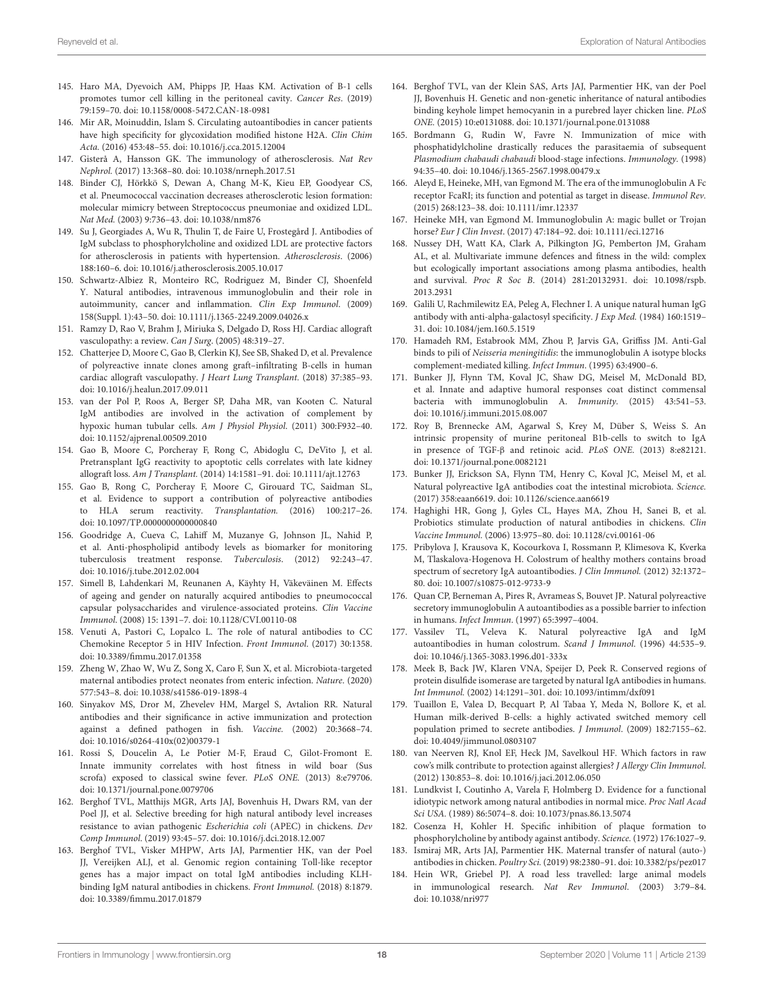- <span id="page-17-0"></span>145. Haro MA, Dyevoich AM, Phipps JP, Haas KM. Activation of B-1 cells promotes tumor cell killing in the peritoneal cavity. Cancer Res. (2019) 79:159–70. doi: [10.1158/0008-5472.CAN-18-0981](https://doi.org/10.1158/0008-5472.CAN-18-0981)
- <span id="page-17-1"></span>146. Mir AR, Moinuddin, Islam S. Circulating autoantibodies in cancer patients have high specificity for glycoxidation modified histone H2A. Clin Chim Acta. (2016) 453:48–55. doi: [10.1016/j.cca.2015.12004](https://doi.org/10.1016/j.cca.2015.12004)
- <span id="page-17-2"></span>147. Gisterå A, Hansson GK. The immunology of atherosclerosis. Nat Rev Nephrol. (2017) 13:368–80. doi: [10.1038/nrneph.2017.51](https://doi.org/10.1038/nrneph.2017.51)
- <span id="page-17-3"></span>148. Binder CJ, Hörkkö S, Dewan A, Chang M-K, Kieu EP, Goodyear CS, et al. Pneumococcal vaccination decreases atherosclerotic lesion formation: molecular mimicry between Streptococcus pneumoniae and oxidized LDL. Nat Med. (2003) 9:736–43. doi: [10.1038/nm876](https://doi.org/10.1038/nm876)
- <span id="page-17-4"></span>149. Su J, Georgiades A, Wu R, Thulin T, de Faire U, Frostegård J. Antibodies of IgM subclass to phosphorylcholine and oxidized LDL are protective factors for atherosclerosis in patients with hypertension. Atherosclerosis. (2006) 188:160–6. doi: [10.1016/j.atherosclerosis.2005.10.017](https://doi.org/10.1016/j.atherosclerosis.2005.10.017)
- <span id="page-17-5"></span>150. Schwartz-Albiez R, Monteiro RC, Rodriguez M, Binder CJ, Shoenfeld Y. Natural antibodies, intravenous immunoglobulin and their role in autoimmunity, cancer and inflammation. Clin Exp Immunol. (2009) 158(Suppl. 1):43–50. doi: [10.1111/j.1365-2249.2009.04026.x](https://doi.org/10.1111/j.1365-2249.2009.04026.x)
- <span id="page-17-6"></span>151. Ramzy D, Rao V, Brahm J, Miriuka S, Delgado D, Ross HJ. Cardiac allograft vasculopathy: a review. Can J Surg. (2005) 48:319–27.
- <span id="page-17-7"></span>152. Chatterjee D, Moore C, Gao B, Clerkin KJ, See SB, Shaked D, et al. Prevalence of polyreactive innate clones among graft–infiltrating B-cells in human cardiac allograft vasculopathy. J Heart Lung Transplant. (2018) 37:385–93. doi: [10.1016/j.healun.2017.09.011](https://doi.org/10.1016/j.healun.2017.09.011)
- <span id="page-17-8"></span>153. van der Pol P, Roos A, Berger SP, Daha MR, van Kooten C. Natural IgM antibodies are involved in the activation of complement by hypoxic human tubular cells. Am J Physiol Physiol. (2011) 300:F932–40. doi: [10.1152/ajprenal.00509.2010](https://doi.org/10.1152/ajprenal.00509.2010)
- <span id="page-17-9"></span>154. Gao B, Moore C, Porcheray F, Rong C, Abidoglu C, DeVito J, et al. Pretransplant IgG reactivity to apoptotic cells correlates with late kidney allograft loss. Am J Transplant. (2014) 14:1581–91. doi: [10.1111/ajt.12763](https://doi.org/10.1111/ajt.12763)
- <span id="page-17-10"></span>155. Gao B, Rong C, Porcheray F, Moore C, Girouard TC, Saidman SL, et al. Evidence to support a contribution of polyreactive antibodies to HLA serum reactivity. Transplantation. (2016) 100:217–26. doi: [10.1097/TP.0000000000000840](https://doi.org/10.1097/TP.0000000000000840)
- <span id="page-17-11"></span>156. Goodridge A, Cueva C, Lahiff M, Muzanye G, Johnson JL, Nahid P, et al. Anti-phospholipid antibody levels as biomarker for monitoring tuberculosis treatment response. Tuberculosis. (2012) 92:243–47. doi: [10.1016/j.tube.2012.02.004](https://doi.org/10.1016/j.tube.2012.02.004)
- <span id="page-17-12"></span>157. Simell B, Lahdenkari M, Reunanen A, Käyhty H, Väkeväinen M. Effects of ageing and gender on naturally acquired antibodies to pneumococcal capsular polysaccharides and virulence-associated proteins. Clin Vaccine Immunol. (2008) 15: 1391–7. doi: [10.1128/CVI.00110-08](https://doi.org/10.1128/CVI.00110-08)
- <span id="page-17-13"></span>158. Venuti A, Pastori C, Lopalco L. The role of natural antibodies to CC Chemokine Receptor 5 in HIV Infection. Front Immunol. (2017) 30:1358. doi: [10.3389/fimmu.2017.01358](https://doi.org/10.3389/fimmu.2017.01358)
- <span id="page-17-14"></span>159. Zheng W, Zhao W, Wu Z, Song X, Caro F, Sun X, et al. Microbiota-targeted maternal antibodies protect neonates from enteric infection. Nature. (2020) 577:543–8. doi: [10.1038/s41586-019-1898-4](https://doi.org/10.1038/s41586-019-1898-4)
- <span id="page-17-15"></span>160. Sinyakov MS, Dror M, Zhevelev HM, Margel S, Avtalion RR. Natural antibodies and their significance in active immunization and protection against a defined pathogen in fish. Vaccine. (2002) 20:3668–74. doi: [10.1016/s0264-410x\(02\)00379-1](https://doi.org/10.1016/s0264-410x(02)00379-1)
- <span id="page-17-16"></span>161. Rossi S, Doucelin A, Le Potier M-F, Eraud C, Gilot-Fromont E. Innate immunity correlates with host fitness in wild boar (Sus scrofa) exposed to classical swine fever. PLoS ONE. (2013) 8:e79706. doi: [10.1371/journal.pone.0079706](https://doi.org/10.1371/journal.pone.0079706)
- <span id="page-17-17"></span>162. Berghof TVL, Matthijs MGR, Arts JAJ, Bovenhuis H, Dwars RM, van der Poel JJ, et al. Selective breeding for high natural antibody level increases resistance to avian pathogenic Escherichia coli (APEC) in chickens. Dev Comp Immunol. (2019) 93:45–57. doi: [10.1016/j.dci.2018.12.007](https://doi.org/10.1016/j.dci.2018.12.007)
- <span id="page-17-18"></span>163. Berghof TVL, Visker MHPW, Arts JAJ, Parmentier HK, van der Poel JJ, Vereijken ALJ, et al. Genomic region containing Toll-like receptor genes has a major impact on total IgM antibodies including KLHbinding IgM natural antibodies in chickens. Front Immunol. (2018) 8:1879. doi: [10.3389/fimmu.2017.01879](https://doi.org/10.3389/fimmu.2017.01879)
- <span id="page-17-19"></span>164. Berghof TVL, van der Klein SAS, Arts JAJ, Parmentier HK, van der Poel JJ, Bovenhuis H. Genetic and non-genetic inheritance of natural antibodies binding keyhole limpet hemocyanin in a purebred layer chicken line. PLoS ONE. (2015) 10:e0131088. doi: [10.1371/journal.pone.0131088](https://doi.org/10.1371/journal.pone.0131088)
- <span id="page-17-27"></span>165. Bordmann G, Rudin W, Favre N. Immunization of mice with phosphatidylcholine drastically reduces the parasitaemia of subsequent Plasmodium chabaudi chabaudi blood-stage infections. Immunology. (1998) 94:35–40. doi: [10.1046/j.1365-2567.1998.00479.x](https://doi.org/10.1046/j.1365-2567.1998.00479.x)
- <span id="page-17-20"></span>166. Aleyd E, Heineke, MH, van Egmond M. The era of the immunoglobulin A Fc receptor FcaRI; its function and potential as target in disease. Immunol Rev. (2015) 268:123–38. doi: [10.1111/imr.12337](https://doi.org/10.1111/imr.12337)
- <span id="page-17-21"></span>167. Heineke MH, van Egmond M. Immunoglobulin A: magic bullet or Trojan horse? Eur J Clin Invest. (2017) 47:184–92. doi: [10.1111/eci.12716](https://doi.org/10.1111/eci.12716)
- <span id="page-17-22"></span>168. Nussey DH, Watt KA, Clark A, Pilkington JG, Pemberton JM, Graham AL, et al. Multivariate immune defences and fitness in the wild: complex but ecologically important associations among plasma antibodies, health and survival. Proc R Soc B[. \(2014\) 281:20132931. doi: 10.1098/rspb.](https://doi.org/10.1098/rspb.2013.2931) 2013.2931
- <span id="page-17-23"></span>169. Galili U, Rachmilewitz EA, Peleg A, Flechner I. A unique natural human IgG antibody with anti-alpha-galactosyl specificity. J Exp Med. (1984) 160:1519– 31. doi: [10.1084/jem.160.5.1519](https://doi.org/10.1084/jem.160.5.1519)
- <span id="page-17-24"></span>170. Hamadeh RM, Estabrook MM, Zhou P, Jarvis GA, Griffiss JM. Anti-Gal binds to pili of Neisseria meningitidis: the immunoglobulin A isotype blocks complement-mediated killing. Infect Immun. (1995) 63:4900–6.
- <span id="page-17-25"></span>171. Bunker JJ, Flynn TM, Koval JC, Shaw DG, Meisel M, McDonald BD, et al. Innate and adaptive humoral responses coat distinct commensal bacteria with immunoglobulin A. Immunity. (2015) 43:541–53. doi: [10.1016/j.immuni.2015.08.007](https://doi.org/10.1016/j.immuni.2015.08.007)
- <span id="page-17-26"></span>172. Roy B, Brennecke AM, Agarwal S, Krey M, Düber S, Weiss S. An intrinsic propensity of murine peritoneal B1b-cells to switch to IgA in presence of TGF-β and retinoic acid. PLoS ONE. (2013) 8:e82121. doi: [10.1371/journal.pone.0082121](https://doi.org/10.1371/journal.pone.0082121)
- <span id="page-17-28"></span>173. Bunker JJ, Erickson SA, Flynn TM, Henry C, Koval JC, Meisel M, et al. Natural polyreactive IgA antibodies coat the intestinal microbiota. Science. (2017) 358:eaan6619. doi: [10.1126/science.aan6619](https://doi.org/10.1126/science.aan6619)
- <span id="page-17-29"></span>174. Haghighi HR, Gong J, Gyles CL, Hayes MA, Zhou H, Sanei B, et al. Probiotics stimulate production of natural antibodies in chickens. Clin Vaccine Immunol. (2006) 13:975–80. doi: [10.1128/cvi.00161-06](https://doi.org/10.1128/cvi.00161-06)
- <span id="page-17-30"></span>175. Pribylova J, Krausova K, Kocourkova I, Rossmann P, Klimesova K, Kverka M, Tlaskalova-Hogenova H. Colostrum of healthy mothers contains broad spectrum of secretory IgA autoantibodies. J Clin Immunol. (2012) 32:1372– 80. doi: [10.1007/s10875-012-9733-9](https://doi.org/10.1007/s10875-012-9733-9)
- <span id="page-17-31"></span>176. Quan CP, Berneman A, Pires R, Avrameas S, Bouvet JP. Natural polyreactive secretory immunoglobulin A autoantibodies as a possible barrier to infection in humans. Infect Immun. (1997) 65:3997–4004.
- <span id="page-17-32"></span>177. Vassilev TL, Veleva K. Natural polyreactive IgA and IgM autoantibodies in human colostrum. Scand J Immunol. (1996) 44:535–9. doi: [10.1046/j.1365-3083.1996.d01-333x](https://doi.org/10.1046/j.1365-3083.1996.d01-333x)
- <span id="page-17-33"></span>178. Meek B, Back JW, Klaren VNA, Speijer D, Peek R. Conserved regions of protein disulfide isomerase are targeted by natural IgA antibodies in humans. Int Immunol. (2002) 14:1291–301. doi: [10.1093/intimm/dxf091](https://doi.org/10.1093/intimm/dxf091)
- <span id="page-17-34"></span>179. Tuaillon E, Valea D, Becquart P, Al Tabaa Y, Meda N, Bollore K, et al. Human milk-derived B-cells: a highly activated switched memory cell population primed to secrete antibodies. J Immunol. (2009) 182:7155–62. doi: [10.4049/jimmunol.0803107](https://doi.org/10.4049/jimmunol.0803107)
- <span id="page-17-35"></span>180. van Neerven RJ, Knol EF, Heck JM, Savelkoul HF. Which factors in raw cow's milk contribute to protection against allergies? J Allergy Clin Immunol. (2012) 130:853–8. doi: [10.1016/j.jaci.2012.06.050](https://doi.org/10.1016/j.jaci.2012.06.050)
- <span id="page-17-36"></span>181. Lundkvist I, Coutinho A, Varela F, Holmberg D. Evidence for a functional idiotypic network among natural antibodies in normal mice. Proc Natl Acad Sci USA. (1989) 86:5074–8. doi: [10.1073/pnas.86.13.5074](https://doi.org/10.1073/pnas.86.13.5074)
- <span id="page-17-37"></span>182. Cosenza H, Kohler H. Specific inhibition of plaque formation to phosphorylcholine by antibody against antibody. Science. (1972) 176:1027–9.
- <span id="page-17-38"></span>183. Ismiraj MR, Arts JAJ, Parmentier HK. Maternal transfer of natural (auto-) antibodies in chicken. Poultry Sci. (2019) 98:2380–91. doi: [10.3382/ps/pez017](https://doi.org/10.3382/ps/pez017)
- <span id="page-17-39"></span>184. Hein WR, Griebel PJ. A road less travelled: large animal models in immunological research. Nat Rev Immunol. (2003) 3:79–84. doi: [10.1038/nri977](https://doi.org/10.1038/nri977)